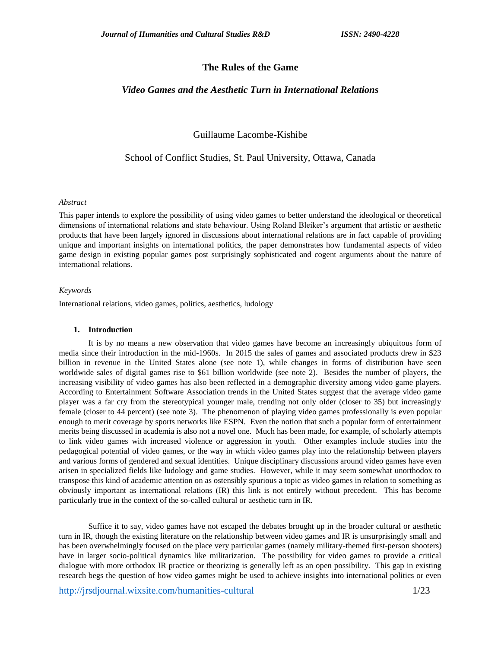# **The Rules of the Game**

# *Video Games and the Aesthetic Turn in International Relations*

Guillaume Lacombe-Kishibe

School of Conflict Studies, St. Paul University, Ottawa, Canada

## *Abstract*

This paper intends to explore the possibility of using video games to better understand the ideological or theoretical dimensions of international relations and state behaviour. Using Roland Bleiker's argument that artistic or aesthetic products that have been largely ignored in discussions about international relations are in fact capable of providing unique and important insights on international politics, the paper demonstrates how fundamental aspects of video game design in existing popular games post surprisingly sophisticated and cogent arguments about the nature of international relations.

#### *Keywords*

International relations, video games, politics, aesthetics, ludology

## **1. Introduction**

It is by no means a new observation that video games have become an increasingly ubiquitous form of media since their introduction in the mid-1960s. In 2015 the sales of games and associated products drew in \$23 billion in revenue in the United States alone (see note 1), while changes in forms of distribution have seen worldwide sales of digital games rise to \$61 billion worldwide (see note 2). Besides the number of players, the increasing visibility of video games has also been reflected in a demographic diversity among video game players. According to Entertainment Software Association trends in the United States suggest that the average video game player was a far cry from the stereotypical younger male, trending not only older (closer to 35) but increasingly female (closer to 44 percent) (see note 3). The phenomenon of playing video games professionally is even popular enough to merit coverage by sports networks like ESPN. Even the notion that such a popular form of entertainment merits being discussed in academia is also not a novel one. Much has been made, for example, of scholarly attempts to link video games with increased violence or aggression in youth. Other examples include studies into the pedagogical potential of video games, or the way in which video games play into the relationship between players and various forms of gendered and sexual identities. Unique disciplinary discussions around video games have even arisen in specialized fields like ludology and game studies. However, while it may seem somewhat unorthodox to transpose this kind of academic attention on as ostensibly spurious a topic as video games in relation to something as obviously important as international relations (IR) this link is not entirely without precedent. This has become particularly true in the context of the so-called cultural or aesthetic turn in IR.

Suffice it to say, video games have not escaped the debates brought up in the broader cultural or aesthetic turn in IR, though the existing literature on the relationship between video games and IR is unsurprisingly small and has been overwhelmingly focused on the place very particular games (namely military-themed first-person shooters) have in larger socio-political dynamics like militarization. The possibility for video games to provide a critical dialogue with more orthodox IR practice or theorizing is generally left as an open possibility. This gap in existing research begs the question of how video games might be used to achieve insights into international politics or even

<http://jrsdjournal.wixsite.com/humanities-cultural> 1/23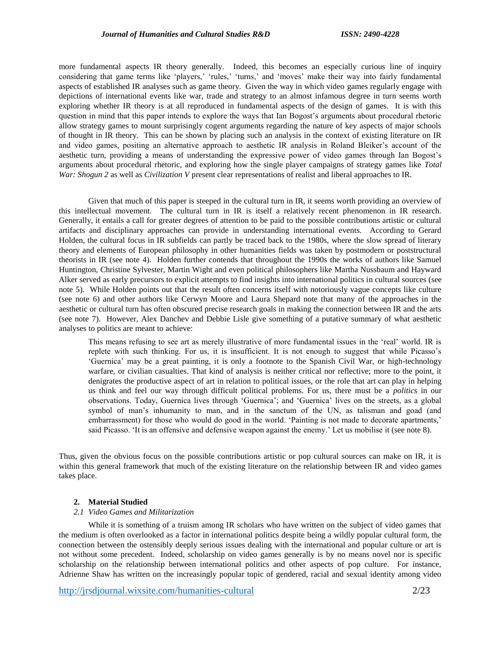more fundamental aspects IR theory generally. Indeed, this becomes an especially curious line of inquiry considering that game terms like 'players,' 'rules,' 'turns,' and 'moves' make their way into fairly fundamental aspects of established IR analyses such as game theory. Given the way in which video games regularly engage with depictions of international events like war, trade and strategy to an almost infamous degree in turn seems worth exploring whether IR theory is at all reproduced in fundamental aspects of the design of games. It is with this question in mind that this paper intends to explore the ways that Ian Bogost's arguments about procedural rhetoric allow strategy games to mount surprisingly cogent arguments regarding the nature of key aspects of major schools of thought in IR theory. This can be shown by placing such an analysis in the context of existing literature on IR and video games, positing an alternative approach to aesthetic IR analysis in Roland Bleiker's account of the aesthetic turn, providing a means of understanding the expressive power of video games through Ian Bogost's arguments about procedural rhetoric, and exploring how the single player campaigns of strategy games like *Total War: Shogun 2* as well as *Civilization V* present clear representations of realist and liberal approaches to IR.

Given that much of this paper is steeped in the cultural turn in IR, it seems worth providing an overview of this intellectual movement. The cultural turn in IR is itself a relatively recent phenomenon in IR research. Generally, it entails a call for greater degrees of attention to be paid to the possible contributions artistic or cultural artifacts and disciplinary approaches can provide in understanding international events. According to Gerard Holden, the cultural focus in IR subfields can partly be traced back to the 1980s, where the slow spread of literary theory and elements of European philosophy in other humanities fields was taken by postmodern or poststructural theorists in IR (see note 4). Holden further contends that throughout the 1990s the works of authors like Samuel Huntington, Christine Sylvester, Martin Wight and even political philosophers like Martha Nussbaum and Hayward Alker served as early precursors to explicit attempts to find insights into international politics in cultural sources (see note 5). While Holden points out that the result often concerns itself with notoriously vague concepts like culture (see note 6) and other authors like Cerwyn Moore and Laura Shepard note that many of the approaches in the aesthetic or cultural turn has often obscured precise research goals in making the connection between IR and the arts (see note 7). However, Alex Danchev and Debbie Lisle give something of a putative summary of what aesthetic analyses to politics are meant to achieve:

This means refusing to see art as merely illustrative of more fundamental issues in the 'real' world. IR is replete with such thinking. For us, it is insufficient. It is not enough to suggest that while Picasso's 'Guernica' may be a great painting, it is only a footnote to the Spanish Civil War, or high-technology warfare, or civilian casualties. That kind of analysis is neither critical nor reflective; more to the point, it denigrates the productive aspect of art in relation to political issues, or the role that art can play in helping us think and feel our way through difficult political problems. For us, there must be a *politics* in our observations. Today, Guernica lives through 'Guernica'; and 'Guernica' lives on the streets, as a global symbol of man's inhumanity to man, and in the sanctum of the UN, as talisman and goad (and embarrassment) for those who would do good in the world. 'Painting is not made to decorate apartments,' said Picasso. 'It is an offensive and defensive weapon against the enemy.' Let us mobilise it (see note 8).

Thus, given the obvious focus on the possible contributions artistic or pop cultural sources can make on IR, it is within this general framework that much of the existing literature on the relationship between IR and video games takes place.

#### **2. Material Studied**

# *2.1 Video Games and Militarization*

While it is something of a truism among IR scholars who have written on the subject of video games that the medium is often overlooked as a factor in international politics despite being a wildly popular cultural form, the connection between the ostensibly deeply serious issues dealing with the international and popular culture or art is not without some precedent. Indeed, scholarship on video games generally is by no means novel nor is specific scholarship on the relationship between international politics and other aspects of pop culture. For instance, Adrienne Shaw has written on the increasingly popular topic of gendered, racial and sexual identity among video

<http://jrsdjournal.wixsite.com/humanities-cultural> 2/23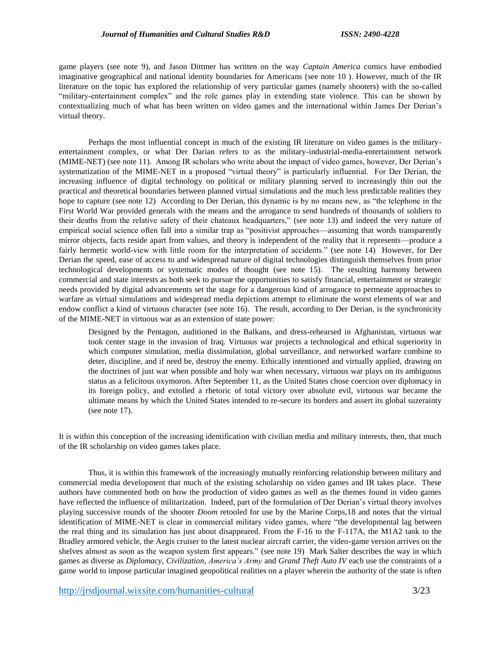game players (see note 9), and Jason Dittmer has written on the way *Captain America* comics have embodied imaginative geographical and national identity boundaries for Americans (see note 10 ). However, much of the IR literature on the topic has explored the relationship of very particular games (namely shooters) with the so-called "military-entertainment complex" and the role games play in extending state violence. This can be shown by contextualizing much of what has been written on video games and the international within James Der Derian's virtual theory.

Perhaps the most influential concept in much of the existing IR literature on video games is the militaryentertainment complex, or what Der Darian refers to as the military-industrial-media-entertainment network (MIME-NET) (see note 11). Among IR scholars who write about the impact of video games, however, Der Derian's systematization of the MIME-NET in a proposed "virtual theory" is particularly influential. For Der Derian, the increasing influence of digital technology on political or military planning served to increasingly thin out the practical and theoretical boundaries between planned virtual simulations and the much less predictable realities they hope to capture (see note 12) According to Der Derian, this dynamic is by no means new, as "the telephone in the First World War provided generals with the means and the arrogance to send hundreds of thousands of soldiers to their deaths from the relative safety of their chateaux headquarters," (see note 13) and indeed the very nature of empirical social science often fall into a similar trap as "positivist approaches—assuming that words transparently mirror objects, facts reside apart from values, and theory is independent of the reality that it represents—produce a fairly hermetic world-view with little room for the interpretation of accidents." (see note 14) However, for Der Derian the speed, ease of access to and widespread nature of digital technologies distinguish themselves from prior technological developments or systematic modes of thought (see note 15). The resulting harmony between commercial and state interests as both seek to pursue the opportunities to satisfy financial, entertainment or strategic needs provided by digital advancements set the stage for a dangerous kind of arrogance to permeate approaches to warfare as virtual simulations and widespread media depictions attempt to eliminate the worst elements of war and endow conflict a kind of virtuous character (see note 16). The result, according to Der Derian, is the synchronicity of the MIME-NET in virtuous war as an extension of state power:

Designed by the Pentagon, auditioned in the Balkans, and dress-rehearsed in Afghanistan, virtuous war took center stage in the invasion of Iraq. Virtuous war projects a technological and ethical superiority in which computer simulation, media dissimulation, global surveillance, and networked warfare combine to deter, discipline, and if need be, destroy the enemy. Ethically intentioned and virtually applied, drawing on the doctrines of just war when possible and holy war when necessary, virtuous war plays on its ambiguous status as a felicitous oxymoron. After September 11, as the United States chose coercion over diplomacy in its foreign policy, and extolled a rhetoric of total victory over absolute evil, virtuous war became the ultimate means by which the United States intended to re-secure its borders and assert its global suzerainty (see note 17).

It is within this conception of the increasing identification with civilian media and military interests, then, that much of the IR scholarship on video games takes place.

Thus, it is within this framework of the increasingly mutually reinforcing relationship between military and commercial media development that much of the existing scholarship on video games and IR takes place. These authors have commented both on how the production of video games as well as the themes found in video games have reflected the influence of militarization. Indeed, part of the formulation of Der Derian's virtual theory involves playing successive rounds of the shooter *Doom* retooled for use by the Marine Corps,18 and notes that the virtual identification of MIME-NET is clear in commercial military video games, where "the developmental lag between the real thing and its simulation has just about disappeared. From the F-16 to the F-117A, the M1A2 tank to the Bradley armored vehicle, the Aegis cruiser to the latest nuclear aircraft carrier, the video-game version arrives on the shelves almost as soon as the weapon system first appears." (see note 19) Mark Salter describes the way in which games as diverse as *Diplomacy*, *Civilization*, *America's Army* and *Grand Theft Auto IV* each use the constraints of a game world to impose particular imagined geopolitical realities on a player wherein the authority of the state is often

<http://jrsdjournal.wixsite.com/humanities-cultural> 3/23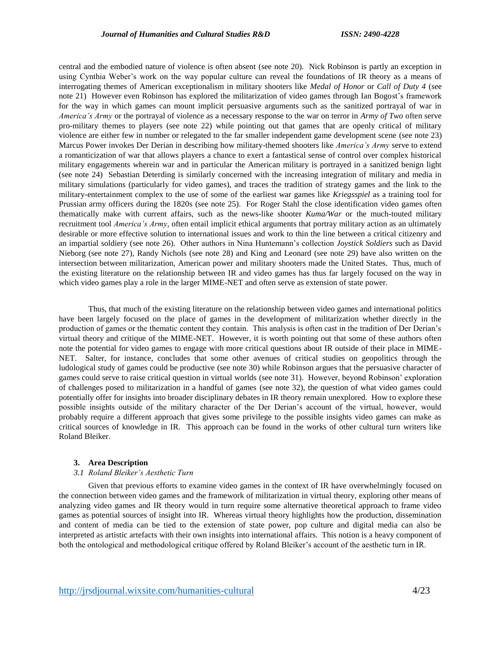central and the embodied nature of violence is often absent (see note 20). Nick Robinson is partly an exception in using Cynthia Weber's work on the way popular culture can reveal the foundations of IR theory as a means of interrogating themes of American exceptionalism in military shooters like *Medal of Honor* or *Call of Duty 4* (see note 21) However even Robinson has explored the militarization of video games through Ian Bogost's framework for the way in which games can mount implicit persuasive arguments such as the sanitized portrayal of war in *America's Army* or the portrayal of violence as a necessary response to the war on terror in *Army of Two* often serve pro-military themes to players (see note 22) while pointing out that games that are openly critical of military violence are either few in number or relegated to the far smaller independent game development scene (see note 23) Marcus Power invokes Der Derian in describing how military-themed shooters like *America's Army* serve to extend a romanticization of war that allows players a chance to exert a fantastical sense of control over complex historical military engagements wherein war and in particular the American military is portrayed in a sanitized benign light (see note 24) Sebastian Deterding is similarly concerned with the increasing integration of military and media in military simulations (particularly for video games), and traces the tradition of strategy games and the link to the military-entertainment complex to the use of some of the earliest war games like *Kriegsspiel* as a training tool for Prussian army officers during the 1820s (see note 25). For Roger Stahl the close identification video games often thematically make with current affairs, such as the news-like shooter *Kuma/War* or the much-touted military recruitment tool *America's Army*, often entail implicit ethical arguments that portray military action as an ultimately desirable or more effective solution to international issues and work to thin the line between a critical citizenry and an impartial soldiery (see note 26). Other authors in Nina Huntemann's collection *Joystick Soldiers* such as David Nieborg (see note 27), Randy Nichols (see note 28) and King and Leonard (see note 29) have also written on the intersection between militarization, American power and military shooters made the United States. Thus, much of the existing literature on the relationship between IR and video games has thus far largely focused on the way in which video games play a role in the larger MIME-NET and often serve as extension of state power.

Thus, that much of the existing literature on the relationship between video games and international politics have been largely focused on the place of games in the development of militarization whether directly in the production of games or the thematic content they contain. This analysis is often cast in the tradition of Der Derian's virtual theory and critique of the MIME-NET. However, it is worth pointing out that some of these authors often note the potential for video games to engage with more critical questions about IR outside of their place in MIME-NET. Salter, for instance, concludes that some other avenues of critical studies on geopolitics through the ludological study of games could be productive (see note 30) while Robinson argues that the persuasive character of games could serve to raise critical question in virtual worlds (see note 31). However, beyond Robinson' exploration of challenges posed to militarization in a handful of games (see note 32), the question of what video games could potentially offer for insights into broader disciplinary debates in IR theory remain unexplored. How to explore these possible insights outside of the military character of the Der Derian's account of the virtual, however, would probably require a different approach that gives some privilege to the possible insights video games can make as critical sources of knowledge in IR. This approach can be found in the works of other cultural turn writers like Roland Bleiker.

# **3. Area Description**

## *3.1 Roland Bleiker's Aesthetic Turn*

Given that previous efforts to examine video games in the context of IR have overwhelmingly focused on the connection between video games and the framework of militarization in virtual theory, exploring other means of analyzing video games and IR theory would in turn require some alternative theoretical approach to frame video games as potential sources of insight into IR. Whereas virtual theory highlights how the production, dissemination and content of media can be tied to the extension of state power, pop culture and digital media can also be interpreted as artistic artefacts with their own insights into international affairs. This notion is a heavy component of both the ontological and methodological critique offered by Roland Bleiker's account of the aesthetic turn in IR.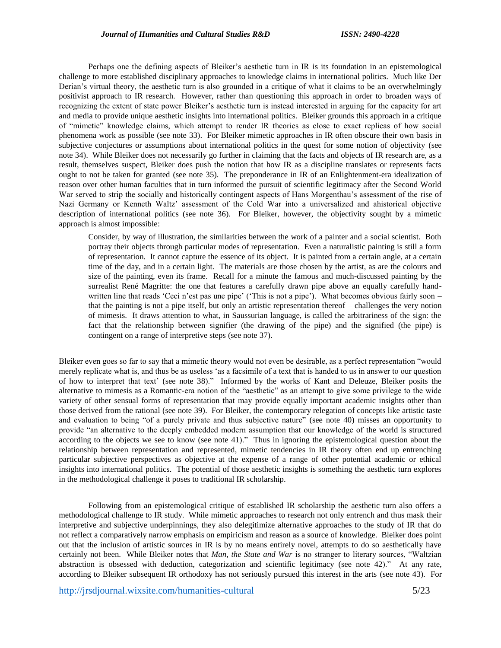Perhaps one the defining aspects of Bleiker's aesthetic turn in IR is its foundation in an epistemological challenge to more established disciplinary approaches to knowledge claims in international politics. Much like Der Derian's virtual theory, the aesthetic turn is also grounded in a critique of what it claims to be an overwhelmingly positivist approach to IR research. However, rather than questioning this approach in order to broaden ways of recognizing the extent of state power Bleiker's aesthetic turn is instead interested in arguing for the capacity for art and media to provide unique aesthetic insights into international politics. Bleiker grounds this approach in a critique of "mimetic" knowledge claims, which attempt to render IR theories as close to exact replicas of how social phenomena work as possible (see note 33). For Bleiker mimetic approaches in IR often obscure their own basis in subjective conjectures or assumptions about international politics in the quest for some notion of objectivity (see note 34). While Bleiker does not necessarily go further in claiming that the facts and objects of IR research are, as a result, themselves suspect, Bleiker does push the notion that how IR as a discipline translates or represents facts ought to not be taken for granted (see note 35). The preponderance in IR of an Enlightenment-era idealization of reason over other human faculties that in turn informed the pursuit of scientific legitimacy after the Second World War served to strip the socially and historically contingent aspects of Hans Morgenthau's assessment of the rise of Nazi Germany or Kenneth Waltz' assessment of the Cold War into a universalized and ahistorical objective description of international politics (see note 36). For Bleiker, however, the objectivity sought by a mimetic approach is almost impossible:

Consider, by way of illustration, the similarities between the work of a painter and a social scientist. Both portray their objects through particular modes of representation. Even a naturalistic painting is still a form of representation. It cannot capture the essence of its object. It is painted from a certain angle, at a certain time of the day, and in a certain light. The materials are those chosen by the artist, as are the colours and size of the painting, even its frame. Recall for a minute the famous and much-discussed painting by the surrealist René Magritte: the one that features a carefully drawn pipe above an equally carefully handwritten line that reads 'Ceci n'est pas une pipe' ('This is not a pipe'). What becomes obvious fairly soon – that the painting is not a pipe itself, but only an artistic representation thereof – challenges the very notion of mimesis. It draws attention to what, in Saussurian language, is called the arbitrariness of the sign: the fact that the relationship between signifier (the drawing of the pipe) and the signified (the pipe) is contingent on a range of interpretive steps (see note 37).

Bleiker even goes so far to say that a mimetic theory would not even be desirable, as a perfect representation "would merely replicate what is, and thus be as useless 'as a facsimile of a text that is handed to us in answer to our question of how to interpret that text' (see note 38)." Informed by the works of Kant and Deleuze, Bleiker posits the alternative to mimesis as a Romantic-era notion of the "aesthetic" as an attempt to give some privilege to the wide variety of other sensual forms of representation that may provide equally important academic insights other than those derived from the rational (see note 39). For Bleiker, the contemporary relegation of concepts like artistic taste and evaluation to being "of a purely private and thus subjective nature" (see note 40) misses an opportunity to provide "an alternative to the deeply embedded modern assumption that our knowledge of the world is structured according to the objects we see to know (see note 41)." Thus in ignoring the epistemological question about the relationship between representation and represented, mimetic tendencies in IR theory often end up entrenching particular subjective perspectives as objective at the expense of a range of other potential academic or ethical insights into international politics. The potential of those aesthetic insights is something the aesthetic turn explores in the methodological challenge it poses to traditional IR scholarship.

Following from an epistemological critique of established IR scholarship the aesthetic turn also offers a methodological challenge to IR study. While mimetic approaches to research not only entrench and thus mask their interpretive and subjective underpinnings, they also delegitimize alternative approaches to the study of IR that do not reflect a comparatively narrow emphasis on empiricism and reason as a source of knowledge. Bleiker does point out that the inclusion of artistic sources in IR is by no means entirely novel, attempts to do so aesthetically have certainly not been. While Bleiker notes that *Man, the State and War* is no stranger to literary sources, "Waltzian abstraction is obsessed with deduction, categorization and scientific legitimacy (see note 42)." At any rate, according to Bleiker subsequent IR orthodoxy has not seriously pursued this interest in the arts (see note 43). For

<http://jrsdjournal.wixsite.com/humanities-cultural> 5/23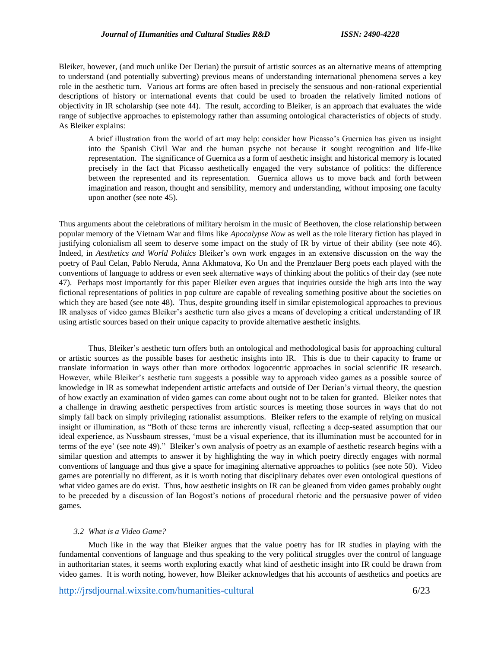Bleiker, however, (and much unlike Der Derian) the pursuit of artistic sources as an alternative means of attempting to understand (and potentially subverting) previous means of understanding international phenomena serves a key role in the aesthetic turn. Various art forms are often based in precisely the sensuous and non-rational experiential descriptions of history or international events that could be used to broaden the relatively limited notions of objectivity in IR scholarship (see note 44). The result, according to Bleiker, is an approach that evaluates the wide range of subjective approaches to epistemology rather than assuming ontological characteristics of objects of study. As Bleiker explains:

A brief illustration from the world of art may help: consider how Picasso's Guernica has given us insight into the Spanish Civil War and the human psyche not because it sought recognition and life-like representation. The significance of Guernica as a form of aesthetic insight and historical memory is located precisely in the fact that Picasso aesthetically engaged the very substance of politics: the difference between the represented and its representation. Guernica allows us to move back and forth between imagination and reason, thought and sensibility, memory and understanding, without imposing one faculty upon another (see note 45).

Thus arguments about the celebrations of military heroism in the music of Beethoven, the close relationship between popular memory of the Vietnam War and films like *Apocalypse Now* as well as the role literary fiction has played in justifying colonialism all seem to deserve some impact on the study of IR by virtue of their ability (see note 46). Indeed, in *Aesthetics and World Politics* Bleiker's own work engages in an extensive discussion on the way the poetry of Paul Celan, Pablo Neruda, Anna Akhmatova, Ko Un and the Prenzlauer Berg poets each played with the conventions of language to address or even seek alternative ways of thinking about the politics of their day (see note 47). Perhaps most importantly for this paper Bleiker even argues that inquiries outside the high arts into the way fictional representations of politics in pop culture are capable of revealing something positive about the societies on which they are based (see note 48). Thus, despite grounding itself in similar epistemological approaches to previous IR analyses of video games Bleiker's aesthetic turn also gives a means of developing a critical understanding of IR using artistic sources based on their unique capacity to provide alternative aesthetic insights.

Thus, Bleiker's aesthetic turn offers both an ontological and methodological basis for approaching cultural or artistic sources as the possible bases for aesthetic insights into IR. This is due to their capacity to frame or translate information in ways other than more orthodox logocentric approaches in social scientific IR research. However, while Bleiker's aesthetic turn suggests a possible way to approach video games as a possible source of knowledge in IR as somewhat independent artistic artefacts and outside of Der Derian's virtual theory, the question of how exactly an examination of video games can come about ought not to be taken for granted. Bleiker notes that a challenge in drawing aesthetic perspectives from artistic sources is meeting those sources in ways that do not simply fall back on simply privileging rationalist assumptions. Bleiker refers to the example of relying on musical insight or illumination, as "Both of these terms are inherently visual, reflecting a deep-seated assumption that our ideal experience, as Nussbaum stresses, 'must be a visual experience, that its illumination must be accounted for in terms of the eye' (see note 49)." Bleiker's own analysis of poetry as an example of aesthetic research begins with a similar question and attempts to answer it by highlighting the way in which poetry directly engages with normal conventions of language and thus give a space for imagining alternative approaches to politics (see note 50). Video games are potentially no different, as it is worth noting that disciplinary debates over even ontological questions of what video games are do exist. Thus, how aesthetic insights on IR can be gleaned from video games probably ought to be preceded by a discussion of Ian Bogost's notions of procedural rhetoric and the persuasive power of video games.

# *3.2 What is a Video Game?*

Much like in the way that Bleiker argues that the value poetry has for IR studies in playing with the fundamental conventions of language and thus speaking to the very political struggles over the control of language in authoritarian states, it seems worth exploring exactly what kind of aesthetic insight into IR could be drawn from video games. It is worth noting, however, how Bleiker acknowledges that his accounts of aesthetics and poetics are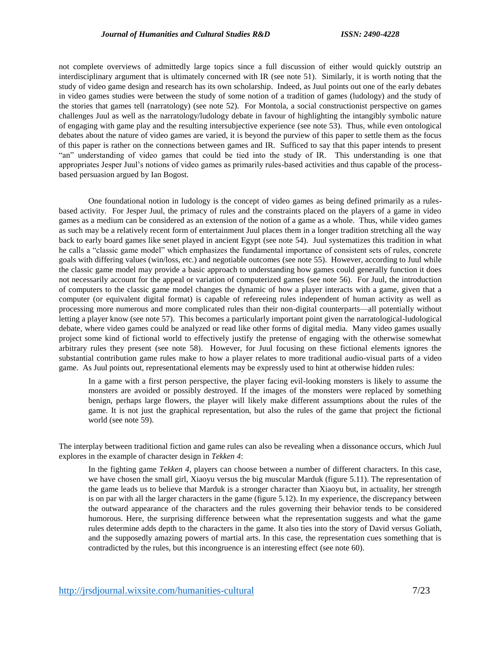not complete overviews of admittedly large topics since a full discussion of either would quickly outstrip an interdisciplinary argument that is ultimately concerned with IR (see note 51). Similarly, it is worth noting that the study of video game design and research has its own scholarship. Indeed, as Juul points out one of the early debates in video games studies were between the study of some notion of a tradition of games (ludology) and the study of the stories that games tell (narratology) (see note 52). For Montola, a social constructionist perspective on games challenges Juul as well as the narratology/ludology debate in favour of highlighting the intangibly symbolic nature of engaging with game play and the resulting intersubjective experience (see note 53). Thus, while even ontological debates about the nature of video games are varied, it is beyond the purview of this paper to settle them as the focus of this paper is rather on the connections between games and IR. Sufficed to say that this paper intends to present "an" understanding of video games that could be tied into the study of IR. This understanding is one that appropriates Jesper Juul's notions of video games as primarily rules-based activities and thus capable of the processbased persuasion argued by Ian Bogost.

One foundational notion in ludology is the concept of video games as being defined primarily as a rulesbased activity. For Jesper Juul, the primacy of rules and the constraints placed on the players of a game in video games as a medium can be considered as an extension of the notion of a game as a whole. Thus, while video games as such may be a relatively recent form of entertainment Juul places them in a longer tradition stretching all the way back to early board games like senet played in ancient Egypt (see note 54). Juul systematizes this tradition in what he calls a "classic game model" which emphasizes the fundamental importance of consistent sets of rules, concrete goals with differing values (win/loss, etc.) and negotiable outcomes (see note 55). However, according to Juul while the classic game model may provide a basic approach to understanding how games could generally function it does not necessarily account for the appeal or variation of computerized games (see note 56). For Juul, the introduction of computers to the classic game model changes the dynamic of how a player interacts with a game, given that a computer (or equivalent digital format) is capable of refereeing rules independent of human activity as well as processing more numerous and more complicated rules than their non-digital counterparts—all potentially without letting a player know (see note 57). This becomes a particularly important point given the narratological-ludological debate, where video games could be analyzed or read like other forms of digital media. Many video games usually project some kind of fictional world to effectively justify the pretense of engaging with the otherwise somewhat arbitrary rules they present (see note 58). However, for Juul focusing on these fictional elements ignores the substantial contribution game rules make to how a player relates to more traditional audio-visual parts of a video game. As Juul points out, representational elements may be expressly used to hint at otherwise hidden rules:

In a game with a first person perspective, the player facing evil-looking monsters is likely to assume the monsters are avoided or possibly destroyed. If the images of the monsters were replaced by something benign, perhaps large flowers, the player will likely make different assumptions about the rules of the game. It is not just the graphical representation, but also the rules of the game that project the fictional world (see note 59).

The interplay between traditional fiction and game rules can also be revealing when a dissonance occurs, which Juul explores in the example of character design in *Tekken 4*:

In the fighting game *Tekken 4*, players can choose between a number of different characters. In this case, we have chosen the small girl, Xiaoyu versus the big muscular Marduk (figure 5.11). The representation of the game leads us to believe that Marduk is a stronger character than Xiaoyu but, in actuality, her strength is on par with all the larger characters in the game (figure 5.12). In my experience, the discrepancy between the outward appearance of the characters and the rules governing their behavior tends to be considered humorous. Here, the surprising difference between what the representation suggests and what the game rules determine adds depth to the characters in the game. It also ties into the story of David versus Goliath, and the supposedly amazing powers of martial arts. In this case, the representation cues something that is contradicted by the rules, but this incongruence is an interesting effect (see note 60).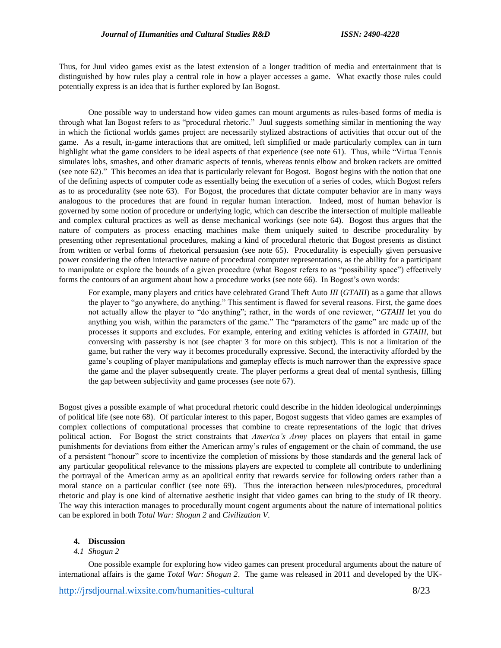Thus, for Juul video games exist as the latest extension of a longer tradition of media and entertainment that is distinguished by how rules play a central role in how a player accesses a game. What exactly those rules could potentially express is an idea that is further explored by Ian Bogost.

One possible way to understand how video games can mount arguments as rules-based forms of media is through what Ian Bogost refers to as "procedural rhetoric." Juul suggests something similar in mentioning the way in which the fictional worlds games project are necessarily stylized abstractions of activities that occur out of the game. As a result, in-game interactions that are omitted, left simplified or made particularly complex can in turn highlight what the game considers to be ideal aspects of that experience (see note 61). Thus, while "Virtua Tennis simulates lobs, smashes, and other dramatic aspects of tennis, whereas tennis elbow and broken rackets are omitted (see note 62)." This becomes an idea that is particularly relevant for Bogost. Bogost begins with the notion that one of the defining aspects of computer code as essentially being the execution of a series of codes, which Bogost refers as to as procedurality (see note 63). For Bogost, the procedures that dictate computer behavior are in many ways analogous to the procedures that are found in regular human interaction. Indeed, most of human behavior is governed by some notion of procedure or underlying logic, which can describe the intersection of multiple malleable and complex cultural practices as well as dense mechanical workings (see note 64). Bogost thus argues that the nature of computers as process enacting machines make them uniquely suited to describe procedurality by presenting other representational procedures, making a kind of procedural rhetoric that Bogost presents as distinct from written or verbal forms of rhetorical persuasion (see note 65). Procedurality is especially given persuasive power considering the often interactive nature of procedural computer representations, as the ability for a participant to manipulate or explore the bounds of a given procedure (what Bogost refers to as "possibility space") effectively forms the contours of an argument about how a procedure works (see note 66). In Bogost's own words:

For example, many players and critics have celebrated Grand Theft Auto *III* (*GTAIII*) as a game that allows the player to "go anywhere, do anything." This sentiment is flawed for several reasons. First, the game does not actually allow the player to "do anything"; rather, in the words of one reviewer, "*GTAIII* let you do anything you wish, within the parameters of the game." The "parameters of the game" are made up of the processes it supports and excludes. For example, entering and exiting vehicles is afforded in *GTAIII*, but conversing with passersby is not (see chapter 3 for more on this subject). This is not a limitation of the game, but rather the very way it becomes procedurally expressive. Second, the interactivity afforded by the game's coupling of player manipulations and gameplay effects is much narrower than the expressive space the game and the player subsequently create. The player performs a great deal of mental synthesis, filling the gap between subjectivity and game processes (see note 67).

Bogost gives a possible example of what procedural rhetoric could describe in the hidden ideological underpinnings of political life (see note 68). Of particular interest to this paper, Bogost suggests that video games are examples of complex collections of computational processes that combine to create representations of the logic that drives political action. For Bogost the strict constraints that *America's Army* places on players that entail in game punishments for deviations from either the American army's rules of engagement or the chain of command, the use of a persistent "honour" score to incentivize the completion of missions by those standards and the general lack of any particular geopolitical relevance to the missions players are expected to complete all contribute to underlining the portrayal of the American army as an apolitical entity that rewards service for following orders rather than a moral stance on a particular conflict (see note 69). Thus the interaction between rules/procedures, procedural rhetoric and play is one kind of alternative aesthetic insight that video games can bring to the study of IR theory. The way this interaction manages to procedurally mount cogent arguments about the nature of international politics can be explored in both *Total War: Shogun 2* and *Civilization V*.

# **4. Discussion**

# *4.1 Shogun 2*

One possible example for exploring how video games can present procedural arguments about the nature of international affairs is the game *Total War: Shogun 2*. The game was released in 2011 and developed by the UK-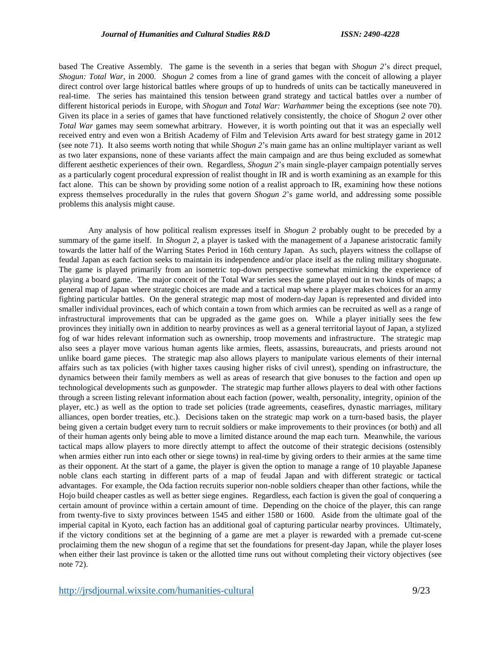based The Creative Assembly. The game is the seventh in a series that began with *Shogun 2*'s direct prequel, *Shogun: Total War*, in 2000. *Shogun 2* comes from a line of grand games with the conceit of allowing a player direct control over large historical battles where groups of up to hundreds of units can be tactically maneuvered in real-time. The series has maintained this tension between grand strategy and tactical battles over a number of different historical periods in Europe, with *Shogun* and *Total War: Warhammer* being the exceptions (see note 70). Given its place in a series of games that have functioned relatively consistently, the choice of *Shogun 2* over other *Total War* games may seem somewhat arbitrary. However, it is worth pointing out that it was an especially well received entry and even won a British Academy of Film and Television Arts award for best strategy game in 2012 (see note 71). It also seems worth noting that while *Shogun 2*'s main game has an online multiplayer variant as well as two later expansions, none of these variants affect the main campaign and are thus being excluded as somewhat different aesthetic experiences of their own. Regardless, *Shogun 2*'s main single-player campaign potentially serves as a particularly cogent procedural expression of realist thought in IR and is worth examining as an example for this fact alone. This can be shown by providing some notion of a realist approach to IR, examining how these notions express themselves procedurally in the rules that govern *Shogun 2*'s game world, and addressing some possible problems this analysis might cause.

Any analysis of how political realism expresses itself in *Shogun 2* probably ought to be preceded by a summary of the game itself. In *Shogun 2*, a player is tasked with the management of a Japanese aristocratic family towards the latter half of the Warring States Period in 16th century Japan. As such, players witness the collapse of feudal Japan as each faction seeks to maintain its independence and/or place itself as the ruling military shogunate. The game is played primarily from an isometric top-down perspective somewhat mimicking the experience of playing a board game. The major conceit of the Total War series sees the game played out in two kinds of maps; a general map of Japan where strategic choices are made and a tactical map where a player makes choices for an army fighting particular battles. On the general strategic map most of modern-day Japan is represented and divided into smaller individual provinces, each of which contain a town from which armies can be recruited as well as a range of infrastructural improvements that can be upgraded as the game goes on. While a player initially sees the few provinces they initially own in addition to nearby provinces as well as a general territorial layout of Japan, a stylized fog of war hides relevant information such as ownership, troop movements and infrastructure. The strategic map also sees a player move various human agents like armies, fleets, assassins, bureaucrats, and priests around not unlike board game pieces. The strategic map also allows players to manipulate various elements of their internal affairs such as tax policies (with higher taxes causing higher risks of civil unrest), spending on infrastructure, the dynamics between their family members as well as areas of research that give bonuses to the faction and open up technological developments such as gunpowder. The strategic map further allows players to deal with other factions through a screen listing relevant information about each faction (power, wealth, personality, integrity, opinion of the player, etc.) as well as the option to trade set policies (trade agreements, ceasefires, dynastic marriages, military alliances, open border treaties, etc.). Decisions taken on the strategic map work on a turn-based basis, the player being given a certain budget every turn to recruit soldiers or make improvements to their provinces (or both) and all of their human agents only being able to move a limited distance around the map each turn. Meanwhile, the various tactical maps allow players to more directly attempt to affect the outcome of their strategic decisions (ostensibly when armies either run into each other or siege towns) in real-time by giving orders to their armies at the same time as their opponent. At the start of a game, the player is given the option to manage a range of 10 playable Japanese noble clans each starting in different parts of a map of feudal Japan and with different strategic or tactical advantages. For example, the Oda faction recruits superior non-noble soldiers cheaper than other factions, while the Hojo build cheaper castles as well as better siege engines. Regardless, each faction is given the goal of conquering a certain amount of province within a certain amount of time. Depending on the choice of the player, this can range from twenty-five to sixty provinces between 1545 and either 1580 or 1600. Aside from the ultimate goal of the imperial capital in Kyoto, each faction has an additional goal of capturing particular nearby provinces. Ultimately, if the victory conditions set at the beginning of a game are met a player is rewarded with a premade cut-scene proclaiming them the new shogun of a regime that set the foundations for present-day Japan, while the player loses when either their last province is taken or the allotted time runs out without completing their victory objectives (see note 72).

<http://jrsdjournal.wixsite.com/humanities-cultural> 9/23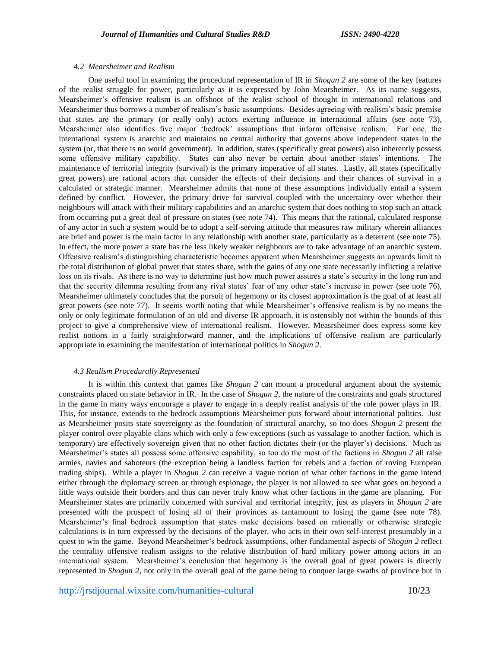### *4.2 Mearsheimer and Realism*

One useful tool in examining the procedural representation of IR in *Shogun 2* are some of the key features of the realist struggle for power, particularly as it is expressed by John Mearsheimer. As its name suggests, Mearsheimer's offensive realism is an offshoot of the realist school of thought in international relations and Mearsheimer thus borrows a number of realism's basic assumptions. Besides agreeing with realism's basic premise that states are the primary (or really only) actors exerting influence in international affairs (see note 73), Mearsheimer also identifies five major 'bedrock' assumptions that inform offensive realism. For one, the international system is anarchic and maintains no central authority that governs above independent states in the system (or, that there is no world government). In addition, states (specifically great powers) also inherently possess some offensive military capability. States can also never be certain about another states' intentions. The maintenance of territorial integrity (survival) is the primary imperative of all states. Lastly, all states (specifically great powers) are rational actors that consider the effects of their decisions and their chances of survival in a calculated or strategic manner. Mearsheimer admits that none of these assumptions individually entail a system defined by conflict. However, the primary drive for survival coupled with the uncertainty over whether their neighbours will attack with their military capabilities and an anarchic system that does nothing to stop such an attack from occurring put a great deal of pressure on states (see note 74). This means that the rational, calculated response of any actor in such a system would be to adopt a self-serving attitude that measures raw military wherein alliances are brief and power is the main factor in any relationship with another state, particularly as a deterrent (see note 75). In effect, the more power a state has the less likely weaker neighbours are to take advantage of an anarchic system. Offensive realism's distinguishing characteristic becomes apparent when Mearsheimer suggests an upwards limit to the total distribution of global power that states share, with the gains of any one state necessarily inflicting a relative loss on its rivals. As there is no way to determine just how much power assures a state's security in the long run and that the security dilemma resulting from any rival states' fear of any other state's increase in power (see note 76), Mearsheimer ultimately concludes that the pursuit of hegemony or its closest approximation is the goal of at least all great powers (see note 77). It seems worth noting that while Mearsheimer's offensive realism is by no means the only or only legitimate formulation of an old and diverse IR approach, it is ostensibly not within the bounds of this project to give a comprehensive view of international realism. However, Measrsheimer does express some key realist notions in a fairly straightforward manner, and the implications of offensive realism are particularly appropriate in examining the manifestation of international politics in *Shogun 2*.

#### *4.3 Realism Procedurally Represented*

It is within this context that games like *Shogun 2* can mount a procedural argument about the systemic constraints placed on state behavior in IR. In the case of *Shogun 2*, the nature of the constraints and goals structured in the game in many ways encourage a player to engage in a deeply realist analysis of the role power plays in IR. This, for instance, extends to the bedrock assumptions Mearsheimer puts forward about international politics. Just as Mearsheimer posits state sovereignty as the foundation of structural anarchy, so too does *Shogun 2* present the player control over playable clans which with only a few exceptions (such as vassalage to another faction, which is temporary) are effectively sovereign given that no other faction dictates their (or the player's) decisions. Much as Mearsheimer's states all possess some offensive capability, so too do the most of the factions in *Shogun 2* all raise armies, navies and saboteurs (the exception being a landless faction for rebels and a faction of roving European trading ships). While a player in *Shogun 2* can receive a vague notion of what other factions in the game intend either through the diplomacy screen or through espionage, the player is not allowed to see what goes on beyond a little ways outside their borders and thus can never truly know what other factions in the game are planning. For Mearsheimer states are primarily concerned with survival and territorial integrity, just as players in *Shogun 2* are presented with the prospect of losing all of their provinces as tantamount to losing the game (see note 78). Mearsheimer's final bedrock assumption that states make decisions based on rationally or otherwise strategic calculations is in turn expressed by the decisions of the player, who acts in their own self-interest presumably in a quest to win the game. Beyond Mearsheimer's bedrock assumptions, other fundamental aspects of *Shogun 2* reflect the centrality offensive realism assigns to the relative distribution of hard military power among actors in an international system. Mearsheimer's conclusion that hegemony is the overall goal of great powers is directly represented in *Shogun 2*, not only in the overall goal of the game being to conquer large swaths of province but in

<http://jrsdjournal.wixsite.com/humanities-cultural> 10/23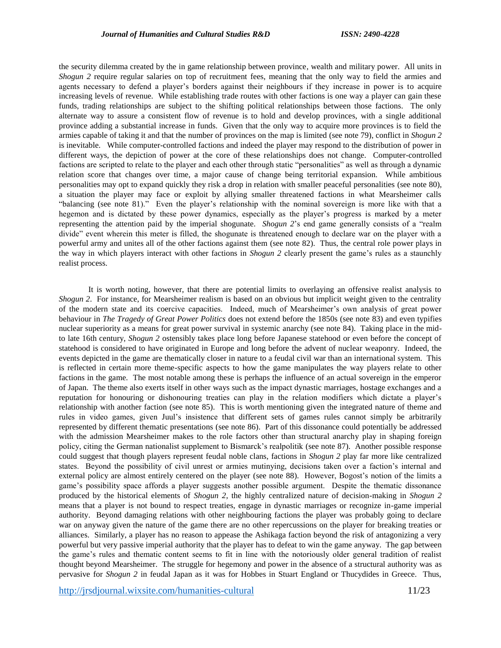the security dilemma created by the in game relationship between province, wealth and military power. All units in *Shogun 2* require regular salaries on top of recruitment fees, meaning that the only way to field the armies and agents necessary to defend a player's borders against their neighbours if they increase in power is to acquire increasing levels of revenue. While establishing trade routes with other factions is one way a player can gain these funds, trading relationships are subject to the shifting political relationships between those factions. The only alternate way to assure a consistent flow of revenue is to hold and develop provinces, with a single additional province adding a substantial increase in funds. Given that the only way to acquire more provinces is to field the armies capable of taking it and that the number of provinces on the map is limited (see note 79), conflict in *Shogun 2* is inevitable. While computer-controlled factions and indeed the player may respond to the distribution of power in different ways, the depiction of power at the core of these relationships does not change. Computer-controlled factions are scripted to relate to the player and each other through static "personalities" as well as through a dynamic relation score that changes over time, a major cause of change being territorial expansion. While ambitious personalities may opt to expand quickly they risk a drop in relation with smaller peaceful personalities (see note 80), a situation the player may face or exploit by allying smaller threatened factions in what Mearsheimer calls "balancing (see note 81)." Even the player's relationship with the nominal sovereign is more like with that a hegemon and is dictated by these power dynamics, especially as the player's progress is marked by a meter representing the attention paid by the imperial shogunate. *Shogun 2*'s end game generally consists of a "realm divide" event wherein this meter is filled, the shogunate is threatened enough to declare war on the player with a powerful army and unites all of the other factions against them (see note 82). Thus, the central role power plays in the way in which players interact with other factions in *Shogun 2* clearly present the game's rules as a staunchly realist process.

It is worth noting, however, that there are potential limits to overlaying an offensive realist analysis to *Shogun 2*. For instance, for Mearsheimer realism is based on an obvious but implicit weight given to the centrality of the modern state and its coercive capacities. Indeed, much of Mearsheimer's own analysis of great power behaviour in *The Tragedy of Great Power Politics* does not extend before the 1850s (see note 83) and even typifies nuclear superiority as a means for great power survival in systemic anarchy (see note 84). Taking place in the midto late 16th century, *Shogun 2* ostensibly takes place long before Japanese statehood or even before the concept of statehood is considered to have originated in Europe and long before the advent of nuclear weaponry. Indeed, the events depicted in the game are thematically closer in nature to a feudal civil war than an international system. This is reflected in certain more theme-specific aspects to how the game manipulates the way players relate to other factions in the game. The most notable among these is perhaps the influence of an actual sovereign in the emperor of Japan. The theme also exerts itself in other ways such as the impact dynastic marriages, hostage exchanges and a reputation for honouring or dishonouring treaties can play in the relation modifiers which dictate a player's relationship with another faction (see note 85). This is worth mentioning given the integrated nature of theme and rules in video games, given Juul's insistence that different sets of games rules cannot simply be arbitrarily represented by different thematic presentations (see note 86). Part of this dissonance could potentially be addressed with the admission Mearsheimer makes to the role factors other than structural anarchy play in shaping foreign policy, citing the German nationalist supplement to Bismarck's realpolitik (see note 87). Another possible response could suggest that though players represent feudal noble clans, factions in *Shogun 2* play far more like centralized states. Beyond the possibility of civil unrest or armies mutinying, decisions taken over a faction's internal and external policy are almost entirely centered on the player (see note 88). However, Bogost's notion of the limits a game's possibility space affords a player suggests another possible argument. Despite the thematic dissonance produced by the historical elements of *Shogun 2*, the highly centralized nature of decision-making in *Shogun 2* means that a player is not bound to respect treaties, engage in dynastic marriages or recognize in-game imperial authority. Beyond damaging relations with other neighbouring factions the player was probably going to declare war on anyway given the nature of the game there are no other repercussions on the player for breaking treaties or alliances. Similarly, a player has no reason to appease the Ashikaga faction beyond the risk of antagonizing a very powerful but very passive imperial authority that the player has to defeat to win the game anyway. The gap between the game's rules and thematic content seems to fit in line with the notoriously older general tradition of realist thought beyond Mearsheimer. The struggle for hegemony and power in the absence of a structural authority was as pervasive for *Shogun 2* in feudal Japan as it was for Hobbes in Stuart England or Thucydides in Greece. Thus,

<http://jrsdjournal.wixsite.com/humanities-cultural> 11/23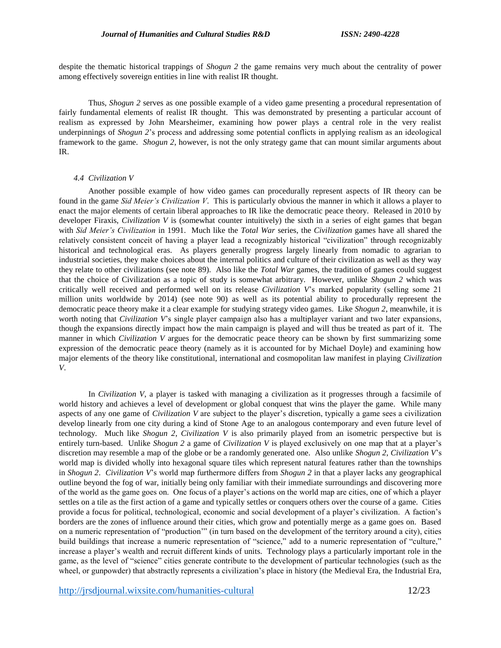despite the thematic historical trappings of *Shogun 2* the game remains very much about the centrality of power among effectively sovereign entities in line with realist IR thought.

Thus, *Shogun 2* serves as one possible example of a video game presenting a procedural representation of fairly fundamental elements of realist IR thought. This was demonstrated by presenting a particular account of realism as expressed by John Mearsheimer, examining how power plays a central role in the very realist underpinnings of *Shogun 2*'s process and addressing some potential conflicts in applying realism as an ideological framework to the game. *Shogun 2*, however, is not the only strategy game that can mount similar arguments about IR.

#### *4.4 Civilization V*

Another possible example of how video games can procedurally represent aspects of IR theory can be found in the game *Sid Meier's Civilization V*. This is particularly obvious the manner in which it allows a player to enact the major elements of certain liberal approaches to IR like the democratic peace theory. Released in 2010 by developer Firaxis, *Civilization V* is (somewhat counter intuitively) the sixth in a series of eight games that began with *Sid Meier's Civilization* in 1991. Much like the *Total War* series, the *Civilization* games have all shared the relatively consistent conceit of having a player lead a recognizably historical "civilization" through recognizably historical and technological eras. As players generally progress largely linearly from nomadic to agrarian to industrial societies, they make choices about the internal politics and culture of their civilization as well as they way they relate to other civilizations (see note 89). Also like the *Total War* games, the tradition of games could suggest that the choice of Civilization as a topic of study is somewhat arbitrary. However, unlike *Shogun 2* which was critically well received and performed well on its release *Civilization V*'s marked popularity (selling some 21 million units worldwide by 2014) (see note 90) as well as its potential ability to procedurally represent the democratic peace theory make it a clear example for studying strategy video games. Like *Shogun 2*, meanwhile, it is worth noting that *Civilization V*'s single player campaign also has a multiplayer variant and two later expansions, though the expansions directly impact how the main campaign is played and will thus be treated as part of it. The manner in which *Civilization V* argues for the democratic peace theory can be shown by first summarizing some expression of the democratic peace theory (namely as it is accounted for by Michael Doyle) and examining how major elements of the theory like constitutional, international and cosmopolitan law manifest in playing *Civilization V*.

In *Civilization V*, a player is tasked with managing a civilization as it progresses through a facsimile of world history and achieves a level of development or global conquest that wins the player the game. While many aspects of any one game of *Civilization V* are subject to the player's discretion, typically a game sees a civilization develop linearly from one city during a kind of Stone Age to an analogous contemporary and even future level of technology. Much like *Shogun 2*, *Civilization V* is also primarily played from an isometric perspective but is entirely turn-based. Unlike *Shogun 2* a game of *Civilization V* is played exclusively on one map that at a player's discretion may resemble a map of the globe or be a randomly generated one. Also unlike *Shogun 2*, *Civilization V*'s world map is divided wholly into hexagonal square tiles which represent natural features rather than the townships in *Shogun 2*. *Civilization V*'s world map furthermore differs from *Shogun 2* in that a player lacks any geographical outline beyond the fog of war, initially being only familiar with their immediate surroundings and discovering more of the world as the game goes on. One focus of a player's actions on the world map are cities, one of which a player settles on a tile as the first action of a game and typically settles or conquers others over the course of a game. Cities provide a focus for political, technological, economic and social development of a player's civilization. A faction's borders are the zones of influence around their cities, which grow and potentially merge as a game goes on. Based on a numeric representation of "production'" (in turn based on the development of the territory around a city), cities build buildings that increase a numeric representation of "science," add to a numeric representation of "culture," increase a player's wealth and recruit different kinds of units. Technology plays a particularly important role in the game, as the level of "science" cities generate contribute to the development of particular technologies (such as the wheel, or gunpowder) that abstractly represents a civilization's place in history (the Medieval Era, the Industrial Era,

<http://jrsdjournal.wixsite.com/humanities-cultural> 12/23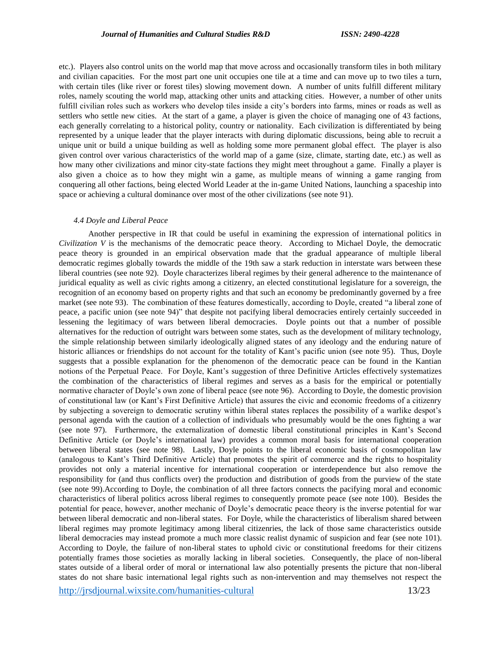etc.). Players also control units on the world map that move across and occasionally transform tiles in both military and civilian capacities. For the most part one unit occupies one tile at a time and can move up to two tiles a turn, with certain tiles (like river or forest tiles) slowing movement down. A number of units fulfill different military roles, namely scouting the world map, attacking other units and attacking cities. However, a number of other units fulfill civilian roles such as workers who develop tiles inside a city's borders into farms, mines or roads as well as settlers who settle new cities. At the start of a game, a player is given the choice of managing one of 43 factions, each generally correlating to a historical polity, country or nationality. Each civilization is differentiated by being represented by a unique leader that the player interacts with during diplomatic discussions, being able to recruit a unique unit or build a unique building as well as holding some more permanent global effect. The player is also given control over various characteristics of the world map of a game (size, climate, starting date, etc.) as well as how many other civilizations and minor city-state factions they might meet throughout a game. Finally a player is also given a choice as to how they might win a game, as multiple means of winning a game ranging from conquering all other factions, being elected World Leader at the in-game United Nations, launching a spaceship into space or achieving a cultural dominance over most of the other civilizations (see note 91).

# *4.4 Doyle and Liberal Peace*

Another perspective in IR that could be useful in examining the expression of international politics in *Civilization V* is the mechanisms of the democratic peace theory. According to Michael Doyle, the democratic peace theory is grounded in an empirical observation made that the gradual appearance of multiple liberal democratic regimes globally towards the middle of the 19th saw a stark reduction in interstate wars between these liberal countries (see note 92). Doyle characterizes liberal regimes by their general adherence to the maintenance of juridical equality as well as civic rights among a citizenry, an elected constitutional legislature for a sovereign, the recognition of an economy based on property rights and that such an economy be predominantly governed by a free market (see note 93). The combination of these features domestically, according to Doyle, created "a liberal zone of peace, a pacific union (see note 94)" that despite not pacifying liberal democracies entirely certainly succeeded in lessening the legitimacy of wars between liberal democracies. Doyle points out that a number of possible alternatives for the reduction of outright wars between some states, such as the development of military technology, the simple relationship between similarly ideologically aligned states of any ideology and the enduring nature of historic alliances or friendships do not account for the totality of Kant's pacific union (see note 95). Thus, Doyle suggests that a possible explanation for the phenomenon of the democratic peace can be found in the Kantian notions of the Perpetual Peace. For Doyle, Kant's suggestion of three Definitive Articles effectively systematizes the combination of the characteristics of liberal regimes and serves as a basis for the empirical or potentially normative character of Doyle's own zone of liberal peace (see note 96). According to Doyle, the domestic provision of constitutional law (or Kant's First Definitive Article) that assures the civic and economic freedoms of a citizenry by subjecting a sovereign to democratic scrutiny within liberal states replaces the possibility of a warlike despot's personal agenda with the caution of a collection of individuals who presumably would be the ones fighting a war (see note 97). Furthermore, the externalization of domestic liberal constitutional principles in Kant's Second Definitive Article (or Doyle's international law) provides a common moral basis for international cooperation between liberal states (see note 98). Lastly, Doyle points to the liberal economic basis of cosmopolitan law (analogous to Kant's Third Definitive Article) that promotes the spirit of commerce and the rights to hospitality provides not only a material incentive for international cooperation or interdependence but also remove the responsibility for (and thus conflicts over) the production and distribution of goods from the purview of the state (see note 99).According to Doyle, the combination of all three factors connects the pacifying moral and economic characteristics of liberal politics across liberal regimes to consequently promote peace (see note 100). Besides the potential for peace, however, another mechanic of Doyle's democratic peace theory is the inverse potential for war between liberal democratic and non-liberal states. For Doyle, while the characteristics of liberalism shared between liberal regimes may promote legitimacy among liberal citizenries, the lack of those same characteristics outside liberal democracies may instead promote a much more classic realist dynamic of suspicion and fear (see note 101). According to Doyle, the failure of non-liberal states to uphold civic or constitutional freedoms for their citizens potentially frames those societies as morally lacking in liberal societies. Consequently, the place of non-liberal states outside of a liberal order of moral or international law also potentially presents the picture that non-liberal states do not share basic international legal rights such as non-intervention and may themselves not respect the

<http://jrsdjournal.wixsite.com/humanities-cultural> 13/23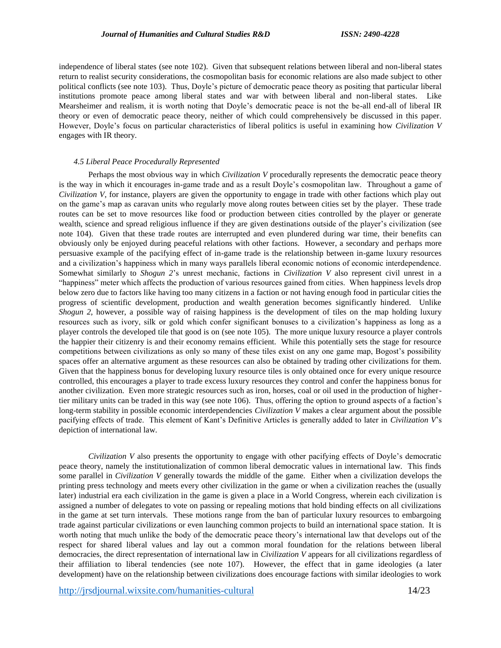independence of liberal states (see note 102). Given that subsequent relations between liberal and non-liberal states return to realist security considerations, the cosmopolitan basis for economic relations are also made subject to other political conflicts (see note 103). Thus, Doyle's picture of democratic peace theory as positing that particular liberal institutions promote peace among liberal states and war with between liberal and non-liberal states. Like Mearsheimer and realism, it is worth noting that Doyle's democratic peace is not the be-all end-all of liberal IR theory or even of democratic peace theory, neither of which could comprehensively be discussed in this paper. However, Doyle's focus on particular characteristics of liberal politics is useful in examining how *Civilization V* engages with IR theory.

### *4.5 Liberal Peace Procedurally Represented*

Perhaps the most obvious way in which *Civilization V* procedurally represents the democratic peace theory is the way in which it encourages in-game trade and as a result Doyle's cosmopolitan law. Throughout a game of *Civilization V*, for instance, players are given the opportunity to engage in trade with other factions which play out on the game's map as caravan units who regularly move along routes between cities set by the player. These trade routes can be set to move resources like food or production between cities controlled by the player or generate wealth, science and spread religious influence if they are given destinations outside of the player's civilization (see note 104). Given that these trade routes are interrupted and even plundered during war time, their benefits can obviously only be enjoyed during peaceful relations with other factions. However, a secondary and perhaps more persuasive example of the pacifying effect of in-game trade is the relationship between in-game luxury resources and a civilization's happiness which in many ways parallels liberal economic notions of economic interdependence. Somewhat similarly to *Shogun 2*'s unrest mechanic, factions in *Civilization V* also represent civil unrest in a "happiness" meter which affects the production of various resources gained from cities. When happiness levels drop below zero due to factors like having too many citizens in a faction or not having enough food in particular cities the progress of scientific development, production and wealth generation becomes significantly hindered. Unlike *Shogun 2*, however, a possible way of raising happiness is the development of tiles on the map holding luxury resources such as ivory, silk or gold which confer significant bonuses to a civilization's happiness as long as a player controls the developed tile that good is on (see note 105). The more unique luxury resource a player controls the happier their citizenry is and their economy remains efficient. While this potentially sets the stage for resource competitions between civilizations as only so many of these tiles exist on any one game map, Bogost's possibility spaces offer an alternative argument as these resources can also be obtained by trading other civilizations for them. Given that the happiness bonus for developing luxury resource tiles is only obtained once for every unique resource controlled, this encourages a player to trade excess luxury resources they control and confer the happiness bonus for another civilization. Even more strategic resources such as iron, horses, coal or oil used in the production of highertier military units can be traded in this way (see note 106). Thus, offering the option to ground aspects of a faction's long-term stability in possible economic interdependencies *Civilization V* makes a clear argument about the possible pacifying effects of trade. This element of Kant's Definitive Articles is generally added to later in *Civilization V*'s depiction of international law.

*Civilization V* also presents the opportunity to engage with other pacifying effects of Doyle's democratic peace theory, namely the institutionalization of common liberal democratic values in international law. This finds some parallel in *Civilization V* generally towards the middle of the game. Either when a civilization develops the printing press technology and meets every other civilization in the game or when a civilization reaches the (usually later) industrial era each civilization in the game is given a place in a World Congress, wherein each civilization is assigned a number of delegates to vote on passing or repealing motions that hold binding effects on all civilizations in the game at set turn intervals. These motions range from the ban of particular luxury resources to embargoing trade against particular civilizations or even launching common projects to build an international space station. It is worth noting that much unlike the body of the democratic peace theory's international law that develops out of the respect for shared liberal values and lay out a common moral foundation for the relations between liberal democracies, the direct representation of international law in *Civilization V* appears for all civilizations regardless of their affiliation to liberal tendencies (see note 107). However, the effect that in game ideologies (a later development) have on the relationship between civilizations does encourage factions with similar ideologies to work

<http://jrsdjournal.wixsite.com/humanities-cultural> 14/23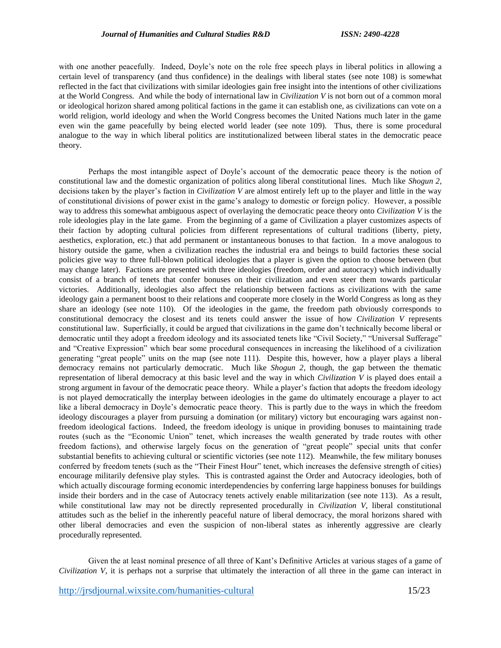with one another peacefully. Indeed, Doyle's note on the role free speech plays in liberal politics in allowing a certain level of transparency (and thus confidence) in the dealings with liberal states (see note 108) is somewhat reflected in the fact that civilizations with similar ideologies gain free insight into the intentions of other civilizations at the World Congress. And while the body of international law in *Civilization V* is not born out of a common moral or ideological horizon shared among political factions in the game it can establish one, as civilizations can vote on a world religion, world ideology and when the World Congress becomes the United Nations much later in the game even win the game peacefully by being elected world leader (see note 109). Thus, there is some procedural analogue to the way in which liberal politics are institutionalized between liberal states in the democratic peace theory.

Perhaps the most intangible aspect of Doyle's account of the democratic peace theory is the notion of constitutional law and the domestic organization of politics along liberal constitutional lines. Much like *Shogun 2*, decisions taken by the player's faction in *Civilization V* are almost entirely left up to the player and little in the way of constitutional divisions of power exist in the game's analogy to domestic or foreign policy. However, a possible way to address this somewhat ambiguous aspect of overlaying the democratic peace theory onto *Civilization V* is the role ideologies play in the late game. From the beginning of a game of Civilization a player customizes aspects of their faction by adopting cultural policies from different representations of cultural traditions (liberty, piety, aesthetics, exploration, etc.) that add permanent or instantaneous bonuses to that faction. In a move analogous to history outside the game, when a civilization reaches the industrial era and beings to build factories these social policies give way to three full-blown political ideologies that a player is given the option to choose between (but may change later). Factions are presented with three ideologies (freedom, order and autocracy) which individually consist of a branch of tenets that confer bonuses on their civilization and even steer them towards particular victories. Additionally, ideologies also affect the relationship between factions as civilizations with the same ideology gain a permanent boost to their relations and cooperate more closely in the World Congress as long as they share an ideology (see note 110). Of the ideologies in the game, the freedom path obviously corresponds to constitutional democracy the closest and its tenets could answer the issue of how *Civilization V* represents constitutional law. Superficially, it could be argued that civilizations in the game don't technically become liberal or democratic until they adopt a freedom ideology and its associated tenets like "Civil Society," "Universal Sufferage" and "Creative Expression" which bear some procedural consequences in increasing the likelihood of a civilization generating "great people" units on the map (see note 111). Despite this, however, how a player plays a liberal democracy remains not particularly democratic. Much like *Shogun 2*, though, the gap between the thematic representation of liberal democracy at this basic level and the way in which *Civilization V* is played does entail a strong argument in favour of the democratic peace theory. While a player's faction that adopts the freedom ideology is not played democratically the interplay between ideologies in the game do ultimately encourage a player to act like a liberal democracy in Doyle's democratic peace theory. This is partly due to the ways in which the freedom ideology discourages a player from pursuing a domination (or military) victory but encouraging wars against nonfreedom ideological factions. Indeed, the freedom ideology is unique in providing bonuses to maintaining trade routes (such as the "Economic Union" tenet, which increases the wealth generated by trade routes with other freedom factions), and otherwise largely focus on the generation of "great people" special units that confer substantial benefits to achieving cultural or scientific victories (see note 112). Meanwhile, the few military bonuses conferred by freedom tenets (such as the "Their Finest Hour" tenet, which increases the defensive strength of cities) encourage militarily defensive play styles. This is contrasted against the Order and Autocracy ideologies, both of which actually discourage forming economic interdependencies by conferring large happiness bonuses for buildings inside their borders and in the case of Autocracy tenets actively enable militarization (see note 113). As a result, while constitutional law may not be directly represented procedurally in *Civilization V*, liberal constitutional attitudes such as the belief in the inherently peaceful nature of liberal democracy, the moral horizons shared with other liberal democracies and even the suspicion of non-liberal states as inherently aggressive are clearly procedurally represented.

Given the at least nominal presence of all three of Kant's Definitive Articles at various stages of a game of *Civilization V*, it is perhaps not a surprise that ultimately the interaction of all three in the game can interact in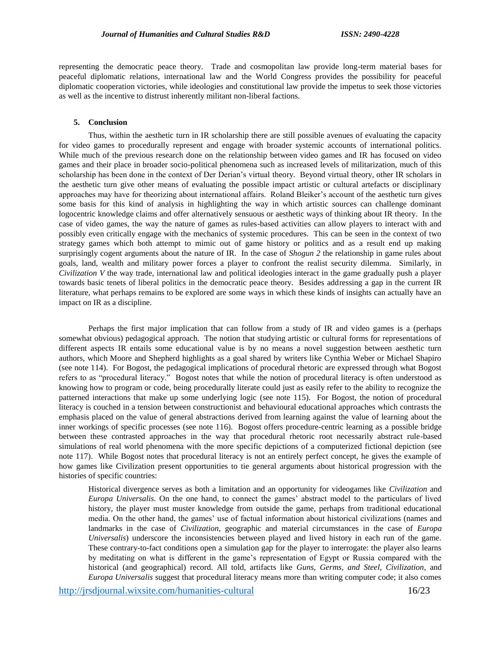representing the democratic peace theory. Trade and cosmopolitan law provide long-term material bases for peaceful diplomatic relations, international law and the World Congress provides the possibility for peaceful diplomatic cooperation victories, while ideologies and constitutional law provide the impetus to seek those victories as well as the incentive to distrust inherently militant non-liberal factions.

## **5. Conclusion**

Thus, within the aesthetic turn in IR scholarship there are still possible avenues of evaluating the capacity for video games to procedurally represent and engage with broader systemic accounts of international politics. While much of the previous research done on the relationship between video games and IR has focused on video games and their place in broader socio-political phenomena such as increased levels of militarization, much of this scholarship has been done in the context of Der Derian's virtual theory. Beyond virtual theory, other IR scholars in the aesthetic turn give other means of evaluating the possible impact artistic or cultural artefacts or disciplinary approaches may have for theorizing about international affairs. Roland Bleiker's account of the aesthetic turn gives some basis for this kind of analysis in highlighting the way in which artistic sources can challenge dominant logocentric knowledge claims and offer alternatively sensuous or aesthetic ways of thinking about IR theory. In the case of video games, the way the nature of games as rules-based activities can allow players to interact with and possibly even critically engage with the mechanics of systemic procedures. This can be seen in the context of two strategy games which both attempt to mimic out of game history or politics and as a result end up making surprisingly cogent arguments about the nature of IR. In the case of *Shogun 2* the relationship in game rules about goals, land, wealth and military power forces a player to confront the realist security dilemma. Similarly, in *Civilization V* the way trade, international law and political ideologies interact in the game gradually push a player towards basic tenets of liberal politics in the democratic peace theory. Besides addressing a gap in the current IR literature, what perhaps remains to be explored are some ways in which these kinds of insights can actually have an impact on IR as a discipline.

Perhaps the first major implication that can follow from a study of IR and video games is a (perhaps somewhat obvious) pedagogical approach. The notion that studying artistic or cultural forms for representations of different aspects IR entails some educational value is by no means a novel suggestion between aesthetic turn authors, which Moore and Shepherd highlights as a goal shared by writers like Cynthia Weber or Michael Shapiro (see note 114). For Bogost, the pedagogical implications of procedural rhetoric are expressed through what Bogost refers to as "procedural literacy." Bogost notes that while the notion of procedural literacy is often understood as knowing how to program or code, being procedurally literate could just as easily refer to the ability to recognize the patterned interactions that make up some underlying logic (see note 115). For Bogost, the notion of procedural literacy is couched in a tension between constructionist and behavioural educational approaches which contrasts the emphasis placed on the value of general abstractions derived from learning against the value of learning about the inner workings of specific processes (see note 116). Bogost offers procedure-centric learning as a possible bridge between these contrasted approaches in the way that procedural rhetoric root necessarily abstract rule-based simulations of real world phenomena with the more specific depictions of a computerized fictional depiction (see note 117). While Bogost notes that procedural literacy is not an entirely perfect concept, he gives the example of how games like Civilization present opportunities to tie general arguments about historical progression with the histories of specific countries:

Historical divergence serves as both a limitation and an opportunity for videogames like *Civilization* and *Europa Universalis*. On the one hand, to connect the games' abstract model to the particulars of lived history, the player must muster knowledge from outside the game, perhaps from traditional educational media. On the other hand, the games' use of factual information about historical civilizations (names and landmarks in the case of *Civilization*, geographic and material circumstances in the case of *Europa Universalis*) underscore the inconsistencies between played and lived history in each run of the game. These contrary-to-fact conditions open a simulation gap for the player to interrogate: the player also learns by meditating on what is different in the game's representation of Egypt or Russia compared with the historical (and geographical) record. All told, artifacts like *Guns, Germs, and Steel*, *Civilization*, and *Europa Universalis* suggest that procedural literacy means more than writing computer code; it also comes

<http://jrsdjournal.wixsite.com/humanities-cultural> 16/23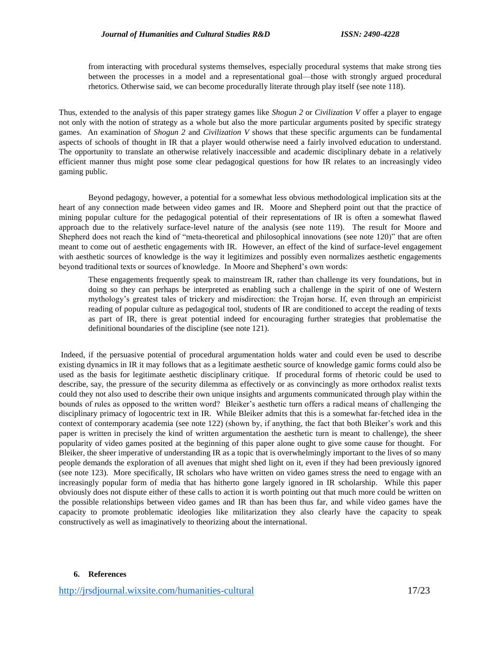from interacting with procedural systems themselves, especially procedural systems that make strong ties between the processes in a model and a representational goal—those with strongly argued procedural rhetorics. Otherwise said, we can become procedurally literate through play itself (see note 118).

Thus, extended to the analysis of this paper strategy games like *Shogun 2* or *Civilization V* offer a player to engage not only with the notion of strategy as a whole but also the more particular arguments posited by specific strategy games. An examination of *Shogun 2* and *Civilization V* shows that these specific arguments can be fundamental aspects of schools of thought in IR that a player would otherwise need a fairly involved education to understand. The opportunity to translate an otherwise relatively inaccessible and academic disciplinary debate in a relatively efficient manner thus might pose some clear pedagogical questions for how IR relates to an increasingly video gaming public.

Beyond pedagogy, however, a potential for a somewhat less obvious methodological implication sits at the heart of any connection made between video games and IR. Moore and Shepherd point out that the practice of mining popular culture for the pedagogical potential of their representations of IR is often a somewhat flawed approach due to the relatively surface-level nature of the analysis (see note 119). The result for Moore and Shepherd does not reach the kind of "meta-theoretical and philosophical innovations (see note 120)" that are often meant to come out of aesthetic engagements with IR. However, an effect of the kind of surface-level engagement with aesthetic sources of knowledge is the way it legitimizes and possibly even normalizes aesthetic engagements beyond traditional texts or sources of knowledge. In Moore and Shepherd's own words:

These engagements frequently speak to mainstream IR, rather than challenge its very foundations, but in doing so they can perhaps be interpreted as enabling such a challenge in the spirit of one of Western mythology's greatest tales of trickery and misdirection: the Trojan horse. If, even through an empiricist reading of popular culture as pedagogical tool, students of IR are conditioned to accept the reading of texts as part of IR, there is great potential indeed for encouraging further strategies that problematise the definitional boundaries of the discipline (see note 121).

Indeed, if the persuasive potential of procedural argumentation holds water and could even be used to describe existing dynamics in IR it may follows that as a legitimate aesthetic source of knowledge gamic forms could also be used as the basis for legitimate aesthetic disciplinary critique. If procedural forms of rhetoric could be used to describe, say, the pressure of the security dilemma as effectively or as convincingly as more orthodox realist texts could they not also used to describe their own unique insights and arguments communicated through play within the bounds of rules as opposed to the written word? Bleiker's aesthetic turn offers a radical means of challenging the disciplinary primacy of logocentric text in IR. While Bleiker admits that this is a somewhat far-fetched idea in the context of contemporary academia (see note 122) (shown by, if anything, the fact that both Bleiker's work and this paper is written in precisely the kind of written argumentation the aesthetic turn is meant to challenge), the sheer popularity of video games posited at the beginning of this paper alone ought to give some cause for thought. For Bleiker, the sheer imperative of understanding IR as a topic that is overwhelmingly important to the lives of so many people demands the exploration of all avenues that might shed light on it, even if they had been previously ignored (see note 123). More specifically, IR scholars who have written on video games stress the need to engage with an increasingly popular form of media that has hitherto gone largely ignored in IR scholarship. While this paper obviously does not dispute either of these calls to action it is worth pointing out that much more could be written on the possible relationships between video games and IR than has been thus far, and while video games have the capacity to promote problematic ideologies like militarization they also clearly have the capacity to speak constructively as well as imaginatively to theorizing about the international.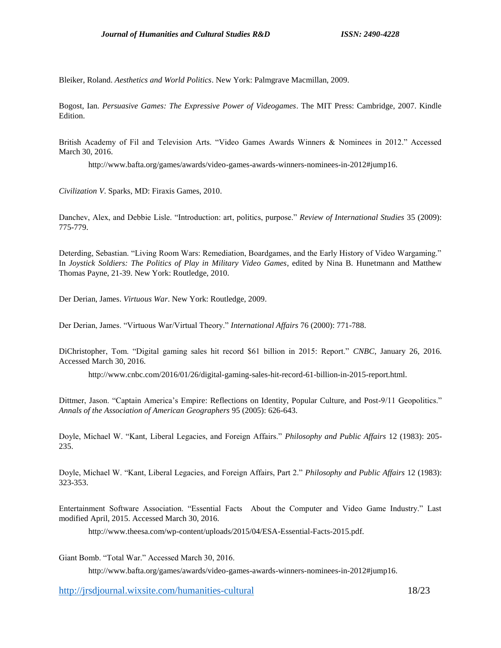Bleiker, Roland. *Aesthetics and World Politics*. New York: Palmgrave Macmillan, 2009.

Bogost, Ian. *Persuasive Games: The Expressive Power of Videogames*. The MIT Press: Cambridge, 2007. Kindle Edition.

British Academy of Fil and Television Arts. "Video Games Awards Winners & Nominees in 2012." Accessed March 30, 2016.

http://www.bafta.org/games/awards/video-games-awards-winners-nominees-in-2012#jump16.

*Civilization V*. Sparks, MD: Firaxis Games, 2010.

Danchev, Alex, and Debbie Lisle. "Introduction: art, politics, purpose." *Review of International Studies* 35 (2009): 775-779.

Deterding, Sebastian. "Living Room Wars: Remediation, Boardgames, and the Early History of Video Wargaming." In *Joystick Soldiers: The Politics of Play in Military Video Games*, edited by Nina B. Hunetmann and Matthew Thomas Payne, 21-39. New York: Routledge, 2010.

Der Derian, James. *Virtuous War*. New York: Routledge, 2009.

Der Derian, James. "Virtuous War/Virtual Theory." *International Affairs* 76 (2000): 771-788.

DiChristopher, Tom. "Digital gaming sales hit record \$61 billion in 2015: Report." *CNBC*, January 26, 2016. Accessed March 30, 2016.

http://www.cnbc.com/2016/01/26/digital-gaming-sales-hit-record-61-billion-in-2015-report.html.

Dittmer, Jason. "Captain America's Empire: Reflections on Identity, Popular Culture, and Post-9/11 Geopolitics." *Annals of the Association of American Geographers* 95 (2005): 626-643.

Doyle, Michael W. "Kant, Liberal Legacies, and Foreign Affairs." *Philosophy and Public Affairs* 12 (1983): 205- 235.

Doyle, Michael W. "Kant, Liberal Legacies, and Foreign Affairs, Part 2." *Philosophy and Public Affairs* 12 (1983): 323-353.

Entertainment Software Association. "Essential Facts About the Computer and Video Game Industry." Last modified April, 2015. Accessed March 30, 2016.

http://www.theesa.com/wp-content/uploads/2015/04/ESA-Essential-Facts-2015.pdf.

Giant Bomb. "Total War." Accessed March 30, 2016.

http://www.bafta.org/games/awards/video-games-awards-winners-nominees-in-2012#jump16.

<http://jrsdjournal.wixsite.com/humanities-cultural> 18/23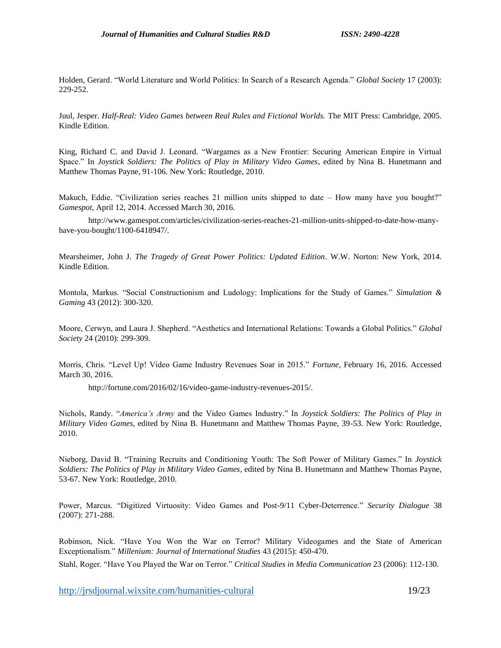Holden, Gerard. "World Literature and World Politics: In Search of a Research Agenda." *Global Society* 17 (2003): 229-252.

Juul, Jesper. *Half-Real: Video Games between Real Rules and Fictional Worlds.* The MIT Press: Cambridge, 2005. Kindle Edition.

King, Richard C. and David J. Leonard. "Wargames as a New Frontier: Securing American Empire in Virtual Space." In *Joystick Soldiers: The Politics of Play in Military Video Games*, edited by Nina B. Hunetmann and Matthew Thomas Payne, 91-106. New York: Routledge, 2010.

Makuch, Eddie. "Civilization series reaches 21 million units shipped to date – How many have you bought?" *Gamespot*, April 12, 2014. Accessed March 30, 2016.

http://www.gamespot.com/articles/civilization-series-reaches-21-million-units-shipped-to-date-how-manyhave-you-bought/1100-6418947/.

Mearsheimer, John J. *The Tragedy of Great Power Politics: Updated Edition*. W.W. Norton: New York, 2014. Kindle Edition.

Montola, Markus. "Social Constructionism and Ludology: Implications for the Study of Games." *Simulation & Gaming* 43 (2012): 300-320.

Moore, Cerwyn, and Laura J. Shepherd. "Aesthetics and International Relations: Towards a Global Politics." *Global Society* 24 (2010): 299-309.

Morris, Chris. "Level Up! Video Game Industry Revenues Soar in 2015." *Fortune*, February 16, 2016. Accessed March 30, 2016.

http://fortune.com/2016/02/16/video-game-industry-revenues-2015/.

Nichols, Randy. "*America's Army* and the Video Games Industry." In *Joystick Soldiers: The Politics of Play in Military Video Games*, edited by Nina B. Hunetmann and Matthew Thomas Payne, 39-53. New York: Routledge, 2010.

Nieborg, David B. "Training Recruits and Conditioning Youth: The Soft Power of Military Games." In *Joystick Soldiers: The Politics of Play in Military Video Games*, edited by Nina B. Hunetmann and Matthew Thomas Payne, 53-67. New York: Routledge, 2010.

Power, Marcus. "Digitized Virtuosity: Video Games and Post-9/11 Cyber-Deterrence." *Security Dialogue* 38 (2007): 271-288.

Robinson, Nick. "Have You Won the War on Terror? Military Videogames and the State of American Exceptionalism." *Millenium: Journal of International Studies* 43 (2015): 450-470.

Stahl, Roger. "Have You Played the War on Terror." *Critical Studies in Media Communication* 23 (2006): 112-130.

<http://jrsdjournal.wixsite.com/humanities-cultural> 19/23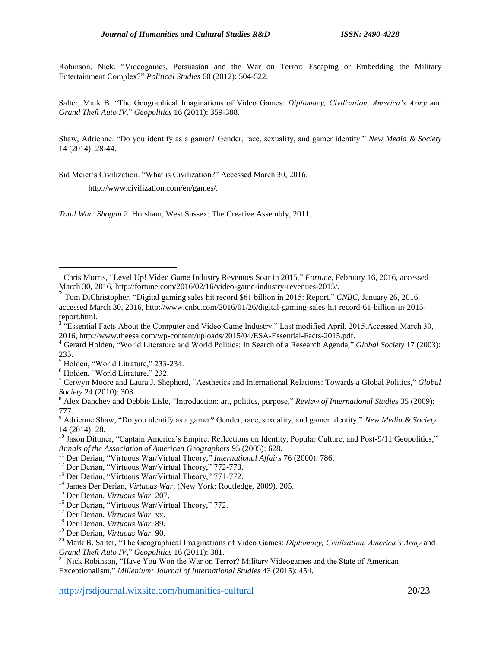Robinson, Nick. "Videogames, Persuasion and the War on Terror: Escaping or Embedding the Military Entertainment Complex?" *Political Studies* 60 (2012): 504-522.

Salter, Mark B. "The Geographical Imaginations of Video Games: *Diplomacy, Civilization, America's Army* and *Grand Theft Auto IV*." *Geopolitics* 16 (2011): 359-388.

Shaw, Adrienne. "Do you identify as a gamer? Gender, race, sexuality, and gamer identity." *New Media & Society* 14 (2014): 28-44.

Sid Meier's Civilization. "What is Civilization?" Accessed March 30, 2016.

http://www.civilization.com/en/games/.

*Total War: Shogun 2*. Horsham, West Sussex: The Creative Assembly, 2011.

<sup>6</sup> Holden, "World Litrature," 232.

 $\overline{a}$ 

<sup>15</sup> Der Derian, *Virtuous War*, 207.

<http://jrsdjournal.wixsite.com/humanities-cultural> 20/23

<sup>1</sup> Chris Morris, "Level Up! Video Game Industry Revenues Soar in 2015," *Fortune*, February 16, 2016, accessed March 30, 2016[, http://fortune.com/2016/02/16/video-game-industry-revenues-2015/.](http://fortune.com/2016/02/16/video-game-industry-revenues-2015/)

<sup>2</sup> Tom DiChristopher, "Digital gaming sales hit record \$61 billion in 2015: Report," *CNBC*, January 26, 2016, accessed March 30, 2016, http://www.cnbc.com/2016/01/26/digital-gaming-sales-hit-record-61-billion-in-2015 report.html.

<sup>&</sup>lt;sup>3</sup> "Essential Facts About the Computer and Video Game Industry." Last modified April, 2015. Accessed March 30, 2016, http://www.theesa.com/wp-content/uploads/2015/04/ESA-Essential-Facts-2015.pdf.

<sup>4</sup> Gerard Holden, "World Literature and World Politics: In Search of a Research Agenda," *Global Society* 17 (2003): 235.

 $5\frac{255}{10}$  Holden, "World Litrature," 233-234.

<sup>7</sup> Cerwyn Moore and Laura J. Shepherd, "Aesthetics and International Relations: Towards a Global Politics," *Global Society* 24 (2010): 303.

<sup>8</sup> Alex Danchev and Debbie Lisle, "Introduction: art, politics, purpose," *Review of International Studies* 35 (2009): 777.

<sup>9</sup> Adrienne Shaw, "Do you identify as a gamer? Gender, race, sexuality, and gamer identity," *New Media & Society* 14 (2014): 28.

<sup>&</sup>lt;sup>10</sup> Jason Dittmer, "Captain America's Empire: Reflections on Identity, Popular Culture, and Post-9/11 Geopolitics," *Annals of the Association of American Geographers* 95 (2005): 628.

<sup>&</sup>lt;sup>11</sup> Der Derian, "Virtuous War/Virtual Theory," *International Affairs* 76 (2000): 786.

<sup>&</sup>lt;sup>12</sup> Der Derian, "Virtuous War/Virtual Theory," 772-773.

<sup>&</sup>lt;sup>13</sup> Der Derian, "Virtuous War/Virtual Theory," 771-772.

<sup>&</sup>lt;sup>14</sup> James Der Derian, *Virtuous War*, (New York: Routledge, 2009), 205.

<sup>&</sup>lt;sup>16</sup> Der Derian, "Virtuous War/Virtual Theory," 772.

<sup>17</sup> Der Derian, *Virtuous War*, xx.

<sup>18</sup> Der Derian, *Virtuous War*, 89.

<sup>19</sup> Der Derian, *Virtuous War*, 90.

<sup>20</sup> Mark B. Salter, "The Geographical Imaginations of Video Games: *Diplomacy, Civilization, America's Army* and *Grand Theft Auto IV*," *Geopolitics* 16 (2011): 381.

<sup>&</sup>lt;sup>21</sup> Nick Robinson, "Have You Won the War on Terror? Military Videogames and the State of American Exceptionalism," *Millenium: Journal of International Studies* 43 (2015): 454.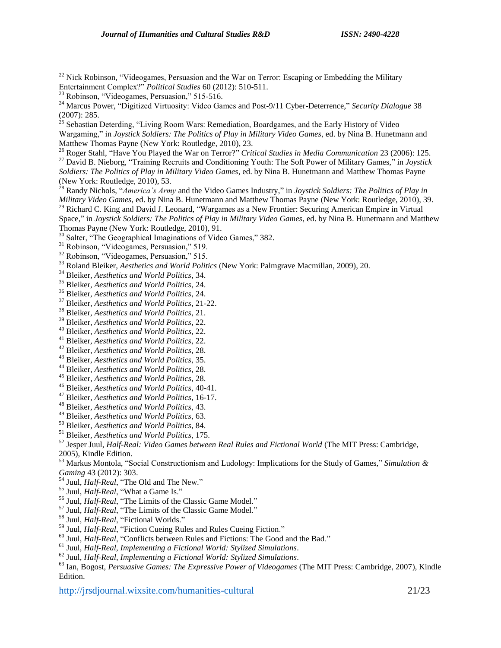Nick Robinson, "Videogames, Persuasion and the War on Terror: Escaping or Embedding the Military Entertainment Complex?" *Political Studies* 60 (2012): 510-511.

 $\overline{a}$ 

<sup>25</sup> Sebastian Deterding, "Living Room Wars: Remediation, Boardgames, and the Early History of Video Wargaming," in *Joystick Soldiers: The Politics of Play in Military Video Games*, ed. by Nina B. Hunetmann and Matthew Thomas Payne (New York: Routledge, 2010), 23.

 Roger Stahl, "Have You Played the War on Terror?" *Critical Studies in Media Communication* 23 (2006): 125. David B. Nieborg, "Training Recruits and Conditioning Youth: The Soft Power of Military Games," in *Joystick Soldiers: The Politics of Play in Military Video Games*, ed. by Nina B. Hunetmann and Matthew Thomas Payne (New York: Routledge, 2010), 53.

 Randy Nichols, "*America's Army* and the Video Games Industry," in *Joystick Soldiers: The Politics of Play in Military Video Games*, ed. by Nina B. Hunetmann and Matthew Thomas Payne (New York: Routledge, 2010), 39.

<sup>29</sup> Richard C. King and David J. Leonard, "Wargames as a New Frontier: Securing American Empire in Virtual

Space," in *Joystick Soldiers: The Politics of Play in Military Video Games*, ed. by Nina B. Hunetmann and Matthew Thomas Payne (New York: Routledge, 2010), 91.

<sup>30</sup> Salter, "The Geographical Imaginations of Video Games," 382.

Robinson, "Videogames, Persuasion," 519.

Robinson, "Videogames, Persuasion," 515.

Roland Bleiker, *Aesthetics and World Politics* (New York: Palmgrave Macmillan, 2009), 20.

Bleiker, *Aesthetics and World Politics*, 34.

Bleiker, *Aesthetics and World Politics*, 24.

Bleiker, *Aesthetics and World Politics*, 24.

Bleiker, *Aesthetics and World Politics*, 21-22.

Bleiker, *Aesthetics and World Politics*, 21.

Bleiker, *Aesthetics and World Politics*, 22.

Bleiker, *Aesthetics and World Politics*, 22.

Bleiker, *Aesthetics and World Politics*, 22.

Bleiker, *Aesthetics and World Politics*, 28.

Bleiker, *Aesthetics and World Politics*, 35.

Bleiker, *Aesthetics and World Politics*, 28.

Bleiker, *Aesthetics and World Politics*, 28.

Bleiker, *Aesthetics and World Politics*, 40-41.

Bleiker, *Aesthetics and World Politics*, 16-17.

Bleiker, *Aesthetics and World Politics*, 43.

Bleiker, *Aesthetics and World Politics*, 63.

Bleiker, *Aesthetics and World Politics*, 84.

Bleiker, *Aesthetics and World Politics*, 175.

 Jesper Juul, *Half-Real: Video Games between Real Rules and Fictional World* (The MIT Press: Cambridge, 2005), Kindle Edition.

 Markus Montola, "Social Constructionism and Ludology: Implications for the Study of Games," *Simulation & Gaming* 43 (2012): 303.

Juul, *Half-Real*, "The Old and The New."

Juul, *Half-Real*, "What a Game Is."

Juul, *Half-Real*, "The Limits of the Classic Game Model."

Juul, *Half-Real*, "The Limits of the Classic Game Model."

Juul, *Half-Real*, "Fictional Worlds."

Juul, *Half-Real*, "Fiction Cueing Rules and Rules Cueing Fiction."

Juul, *Half-Real*, "Conflicts between Rules and Fictions: The Good and the Bad."

Juul, *Half-Real*, *Implementing a Fictional World: Stylized Simulations*.

Juul, *Half-Real*, *Implementing a Fictional World: Stylized Simulations*.

 Ian, Bogost, *Persuasive Games: The Expressive Power of Videogames* (The MIT Press: Cambridge, 2007), Kindle Edition.

http://irsdiournal.wixsite.com/humanities-cultural 21/23

<sup>&</sup>lt;sup>23</sup> Robinson, "Videogames, Persuasion," 515-516.

<sup>&</sup>lt;sup>24</sup> Marcus Power, "Digitized Virtuosity: Video Games and Post-9/11 Cyber-Deterrence," *Security Dialogue* 38 (2007): 285.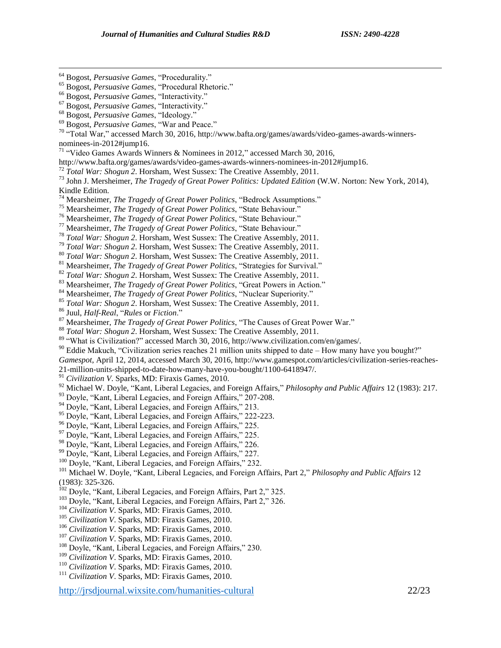- <sup>64</sup> Bogost, *Persuasive Games*, "Procedurality."
- <sup>65</sup> Bogost, *Persuasive Games*, "Procedural Rhetoric."

<sup>67</sup> Bogost, *Persuasive Games*, "Interactivity."

 $\overline{a}$ 

<sup>69</sup> Bogost, *Persuasive Games*, "War and Peace."

 $70$  "Total War," accessed March 30, 2016, http://www.bafta.org/games/awards/video-games-awards-winnersnominees-in-2012#jump16.

- <sup>71</sup> "Video Games Awards Winners & Nominees in 2012," accessed March 30, 2016,
- http://www.bafta.org/games/awards/video-games-awards-winners-nominees-in-2012#jump16.
- <sup>72</sup> *Total War: Shogun 2.* Horsham, West Sussex: The Creative Assembly, 2011.

<sup>73</sup> John J. Mersheimer, *The Tragedy of Great Power Politics: Updated Edition* (W.W. Norton: New York, 2014), Kindle Edition.

- <sup>74</sup> Mearsheimer, *The Tragedy of Great Power Politics*, "Bedrock Assumptions."
- <sup>75</sup> Mearsheimer, *The Tragedy of Great Power Politics*, "State Behaviour."
- <sup>76</sup> Mearsheimer, *The Tragedy of Great Power Politics*, "State Behaviour."
- <sup>77</sup> Mearsheimer, *The Tragedy of Great Power Politics*, "State Behaviour."
- <sup>78</sup> *Total War: Shogun 2*. Horsham, West Sussex: The Creative Assembly, 2011.
- <sup>79</sup> *Total War: Shogun 2*. Horsham, West Sussex: The Creative Assembly, 2011.
- <sup>80</sup> *Total War: Shogun 2*. Horsham, West Sussex: The Creative Assembly, 2011.
- <sup>81</sup> Mearsheimer, *The Tragedy of Great Power Politics*, "Strategies for Survival."
- <sup>82</sup> *Total War: Shogun 2*. Horsham, West Sussex: The Creative Assembly, 2011.
- <sup>83</sup> Mearsheimer, *The Tragedy of Great Power Politics*, "Great Powers in Action."
- <sup>84</sup> Mearsheimer, *The Tragedy of Great Power Politics*, "Nuclear Superiority."

<sup>85</sup> *Total War: Shogun 2*. Horsham, West Sussex: The Creative Assembly, 2011.

<sup>86</sup> Juul, *Half-Real*, "*Rules* or *Fiction*."

- <sup>87</sup> Mearsheimer, *The Tragedy of Great Power Politics*, "The Causes of Great Power War."
- <sup>88</sup> *Total War: Shogun 2*. Horsham, West Sussex: The Creative Assembly, 2011.
- <sup>89</sup> "What is Civilization?" accessed March 30, 2016, http://www.civilization.com/en/games/.
- $90$  Eddie Makuch, "Civilization series reaches 21 million units shipped to date How many have you bought?"
- *Gamespot*, April 12, 2014, accessed March 30, 2016, http://www.gamespot.com/articles/civilization-series-reaches-

21-million-units-shipped-to-date-how-many-have-you-bought/1100-6418947/.

<sup>91</sup> *Civilization V.* Sparks, MD: Firaxis Games, 2010.

- <sup>92</sup> Michael W. Doyle, "Kant, Liberal Legacies, and Foreign Affairs," *Philosophy and Public Affairs* 12 (1983): 217.
- <sup>93</sup> Doyle, "Kant, Liberal Legacies, and Foreign Affairs," 207-208.
- <sup>94</sup> Doyle, "Kant, Liberal Legacies, and Foreign Affairs," 213.
- <sup>95</sup> Doyle, "Kant, Liberal Legacies, and Foreign Affairs," 222-223.
- <sup>96</sup> Doyle, "Kant, Liberal Legacies, and Foreign Affairs," 225.
- <sup>97</sup> Doyle, "Kant, Liberal Legacies, and Foreign Affairs," 225.
- <sup>98</sup> Doyle, "Kant, Liberal Legacies, and Foreign Affairs," 226.
- <sup>99</sup> Doyle, "Kant, Liberal Legacies, and Foreign Affairs," 227.
- <sup>100</sup> Doyle, "Kant, Liberal Legacies, and Foreign Affairs," 232.

<sup>101</sup> Michael W. Doyle, "Kant, Liberal Legacies, and Foreign Affairs, Part 2," *Philosophy and Public Affairs* 12 (1983): 325-326.

- <sup>102</sup> Doyle, "Kant, Liberal Legacies, and Foreign Affairs, Part 2," 325.
- <sup>103</sup> Doyle, "Kant, Liberal Legacies, and Foreign Affairs, Part 2," 326.
- <sup>104</sup> *Civilization V*. Sparks, MD: Firaxis Games, 2010.
- <sup>105</sup> *Civilization V*. Sparks, MD: Firaxis Games, 2010.
- <sup>106</sup> *Civilization V*. Sparks, MD: Firaxis Games, 2010.
- <sup>107</sup> *Civilization V*. Sparks, MD: Firaxis Games, 2010.
- <sup>108</sup> Doyle, "Kant, Liberal Legacies, and Foreign Affairs," 230.
- <sup>109</sup> *Civilization V*. Sparks, MD: Firaxis Games, 2010.
- <sup>110</sup> *Civilization V*. Sparks, MD: Firaxis Games, 2010.
- <sup>111</sup> *Civilization V*. Sparks, MD: Firaxis Games, 2010.

http://irsdiournal.wixsite.com/humanities-cultural 22/23

<sup>66</sup> Bogost, *Persuasive Games*, "Interactivity."

<sup>68</sup> Bogost, *Persuasive Games*, "Ideology."